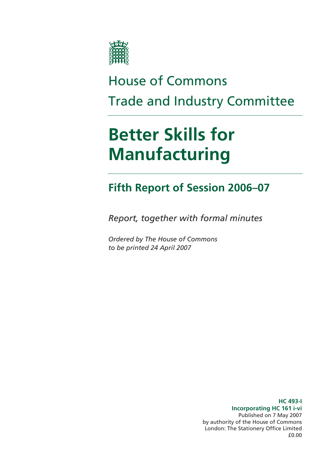

# House of Commons Trade and Industry Committee

# **Better Skills for Manufacturing**

# **Fifth Report of Session 2006–07**

*Report, together with formal minutes* 

*Ordered by The House of Commons to be printed 24 April 2007* 

> **HC 493-I Incorporating HC 161 i-vi**  Published on 7 May 2007 by authority of the House of Commons London: The Stationery Office Limited £0.00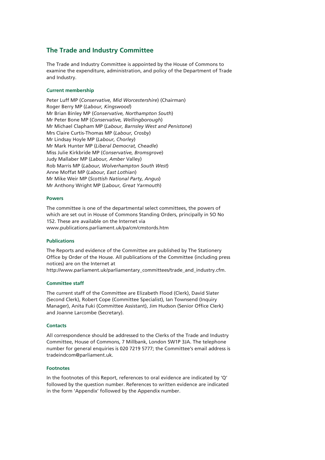### **The Trade and Industry Committee**

The Trade and Industry Committee is appointed by the House of Commons to examine the expenditure, administration, and policy of the Department of Trade and Industry.

### **Current membership**

Peter Luff MP (*Conservative, Mid Worcestershire*) (Chairman) Roger Berry MP (*Labour, Kingswood*) Mr Brian Binley MP (*Conservative, Northampton South*) Mr Peter Bone MP (*Conservative, Wellingborough*) Mr Michael Clapham MP (*Labour, Barnsley West and Penistone*) Mrs Claire Curtis-Thomas MP (*Labour, Crosby*) Mr Lindsay Hoyle MP (*Labour, Chorley*) Mr Mark Hunter MP (*Liberal Democrat, Cheadle*) Miss Julie Kirkbride MP (*Conservative, Bromsgrove*) Judy Mallaber MP (*Labour, Amber* Valley) Rob Marris MP (*Labour, Wolverhampton South West*) Anne Moffat MP (*Labour, East Lothian*) Mr Mike Weir MP (*Scottish National Party, Angus*) Mr Anthony Wright MP (*Labour, Great Yarmouth*)

### **Powers**

The committee is one of the departmental select committees, the powers of which are set out in House of Commons Standing Orders, principally in SO No 152. These are available on the Internet via www.publications.parliament.uk/pa/cm/cmstords.htm

### **Publications**

The Reports and evidence of the Committee are published by The Stationery Office by Order of the House. All publications of the Committee (including press notices) are on the Internet at

http://www.parliament.uk/parliamentary\_committees/trade\_and\_industry.cfm.

### **Committee staff**

The current staff of the Committee are Elizabeth Flood (Clerk), David Slater (Second Clerk), Robert Cope (Committee Specialist), Ian Townsend (Inquiry Manager), Anita Fuki (Committee Assistant), Jim Hudson (Senior Office Clerk) and Joanne Larcombe (Secretary).

#### **Contacts**

All correspondence should be addressed to the Clerks of the Trade and Industry Committee, House of Commons, 7 Millbank, London SW1P 3JA. The telephone number for general enquiries is 020 7219 5777; the Committee's email address is tradeindcom@parliament.uk.

#### **Footnotes**

In the footnotes of this Report, references to oral evidence are indicated by 'Q' followed by the question number. References to written evidence are indicated in the form 'Appendix' followed by the Appendix number.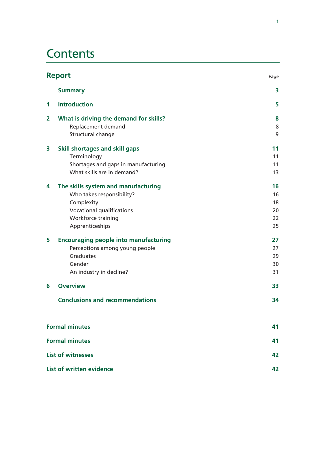# **Contents**

| <b>Report</b><br>Page |                                                                                                                                                      |                                  |  |
|-----------------------|------------------------------------------------------------------------------------------------------------------------------------------------------|----------------------------------|--|
|                       | <b>Summary</b>                                                                                                                                       | 3                                |  |
| 1                     | <b>Introduction</b>                                                                                                                                  | 5                                |  |
| $\overline{2}$        | What is driving the demand for skills?<br>Replacement demand<br>Structural change                                                                    | 8<br>8<br>9                      |  |
| 3                     | <b>Skill shortages and skill gaps</b><br>Terminology<br>Shortages and gaps in manufacturing<br>What skills are in demand?                            | 11<br>11<br>11<br>13             |  |
| 4                     | The skills system and manufacturing<br>Who takes responsibility?<br>Complexity<br>Vocational qualifications<br>Workforce training<br>Apprenticeships | 16<br>16<br>18<br>20<br>22<br>25 |  |
| 5                     | <b>Encouraging people into manufacturing</b><br>Perceptions among young people<br>Graduates<br>Gender<br>An industry in decline?                     | 27<br>27<br>29<br>30<br>31       |  |
| 6                     | <b>Overview</b>                                                                                                                                      | 33                               |  |
|                       | <b>Conclusions and recommendations</b>                                                                                                               | 34                               |  |
|                       | <b>Formal minutes</b>                                                                                                                                | 41                               |  |
| <b>Formal minutes</b> |                                                                                                                                                      | 41                               |  |
|                       | <b>List of witnesses</b>                                                                                                                             |                                  |  |
|                       | List of written evidence<br>42                                                                                                                       |                                  |  |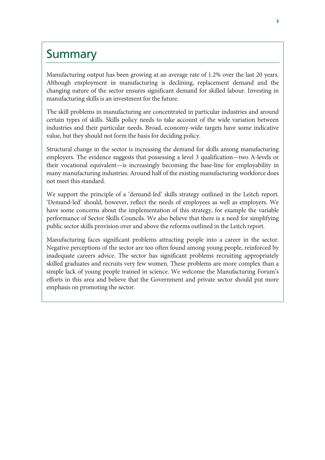### **Summary**

Manufacturing output has been growing at an average rate of 1.2% over the last 20 years. Although employment in manufacturing is declining, replacement demand and the changing nature of the sector ensures significant demand for skilled labour. Investing in manufacturing skills is an investment for the future.

The skill problems in manufacturing are concentrated in particular industries and around certain types of skills. Skills policy needs to take account of the wide variation between industries and their particular needs. Broad, economy-wide targets have some indicative value, but they should not form the basis for deciding policy.

Structural change in the sector is increasing the demand for skills among manufacturing employers. The evidence suggests that possessing a level 3 qualification—two A-levels or their vocational equivalent—is increasingly becoming the base-line for employability in many manufacturing industries. Around half of the existing manufacturing workforce does not meet this standard.

We support the principle of a 'demand-led' skills strategy outlined in the Leitch report. 'Demand-led' should, however, reflect the needs of employees as well as employers. We have some concerns about the implementation of this strategy, for example the variable performance of Sector Skills Councils. We also believe that there is a need for simplifying public sector skills provision over and above the reforms outlined in the Leitch report.

Manufacturing faces significant problems attracting people into a career in the sector. Negative perceptions of the sector are too often found among young people, reinforced by inadequate careers advice. The sector has significant problems recruiting appropriately skilled graduates and recruits very few women. These problems are more complex than a simple lack of young people trained in science. We welcome the Manufacturing Forum's efforts in this area and believe that the Government and private sector should put more emphasis on promoting the sector.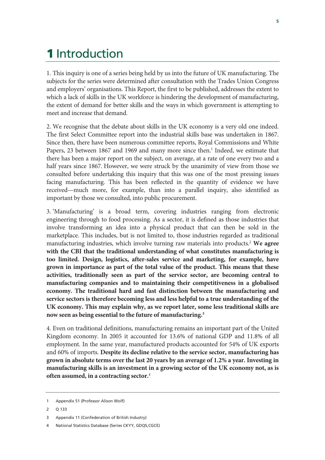# 1 Introduction

1. This inquiry is one of a series being held by us into the future of UK manufacturing. The subjects for the series were determined after consultation with the Trades Union Congress and employers' organisations. This Report, the first to be published, addresses the extent to which a lack of skills in the UK workforce is hindering the development of manufacturing, the extent of demand for better skills and the ways in which government is attempting to meet and increase that demand.

2. We recognise that the debate about skills in the UK economy is a very old one indeed. The first Select Committee report into the industrial skills base was undertaken in 1867. Since then, there have been numerous committee reports, Royal Commissions and White Papers, 23 between 1867 and 1969 and many more since then.<sup>1</sup> Indeed, we estimate that there has been a major report on the subject, on average, at a rate of one every two and a half years since 1867. However, we were struck by the unanimity of view from those we consulted before undertaking this inquiry that this was one of the most pressing issues facing manufacturing. This has been reflected in the quantity of evidence we have received—much more, for example, than into a parallel inquiry, also identified as important by those we consulted, into public procurement.

3. 'Manufacturing' is a broad term, covering industries ranging from electronic engineering through to food processing. As a sector, it is defined as those industries that involve transforming an idea into a physical product that can then be sold in the marketplace. This includes, but is not limited to, those industries regarded as traditional manufacturing industries, which involve turning raw materials into products.2 **We agree with the CBI that the traditional understanding of what constitutes manufacturing is too limited. Design, logistics, after-sales service and marketing, for example, have grown in importance as part of the total value of the product. This means that these activities, traditionally seen as part of the service sector, are becoming central to manufacturing companies and to maintaining their competitiveness in a globalised economy. The traditional hard and fast distinction between the manufacturing and service sectors is therefore becoming less and less helpful to a true understanding of the UK economy. This may explain why, as we report later, some less traditional skills are now seen as being essential to the future of manufacturing.3**

4. Even on traditional definitions, manufacturing remains an important part of the United Kingdom economy. In 2005 it accounted for 13.6% of national GDP and 11.8% of all employment. In the same year, manufactured products accounted for 54% of UK exports and 60% of imports. **Despite its decline relative to the service sector, manufacturing has grown in absolute terms over the last 20 years by an average of 1.2% a year. Investing in manufacturing skills is an investment in a growing sector of the UK economy not, as is often assumed, in a contracting sector.**<sup>4</sup>

<sup>1</sup> Appendix 51 (Professor Alison Wolf)

<sup>2</sup> Q 133

<sup>3</sup> Appendix 11 (Confederation of British Industry)

<sup>4</sup> National Statistics Database (Series CKYY, GDQS,CGCE)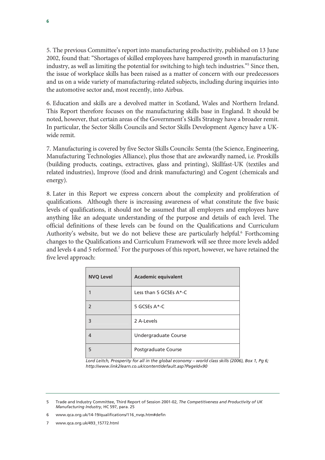5. The previous Committee's report into manufacturing productivity, published on 13 June 2002, found that: "Shortages of skilled employees have hampered growth in manufacturing industry, as well as limiting the potential for switching to high tech industries."<sup>5</sup> Since then, the issue of workplace skills has been raised as a matter of concern with our predecessors and us on a wide variety of manufacturing-related subjects, including during inquiries into the automotive sector and, most recently, into Airbus.

6. Education and skills are a devolved matter in Scotland, Wales and Northern Ireland. This Report therefore focuses on the manufacturing skills base in England. It should be noted, however, that certain areas of the Government's Skills Strategy have a broader remit. In particular, the Sector Skills Councils and Sector Skills Development Agency have a UKwide remit.

7. Manufacturing is covered by five Sector Skills Councils: Semta (the Science, Engineering, Manufacturing Technologies Alliance), plus those that are awkwardly named, i.e. Proskills (building products, coatings, extractives, glass and printing), Skillfast-UK (textiles and related industries), Improve (food and drink manufacturing) and Cogent (chemicals and energy).

8. Later in this Report we express concern about the complexity and proliferation of qualifications. Although there is increasing awareness of what constitute the five basic levels of qualifications, it should not be assumed that all employers and employees have anything like an adequate understanding of the purpose and details of each level. The official definitions of these levels can be found on the Qualifications and Curriculum Authority's website, but we do not believe these are particularly helpful.<sup>6</sup> Forthcoming changes to the Qualifications and Curriculum Framework will see three more levels added and levels 4 and 5 reformed.<sup>7</sup> For the purposes of this report, however, we have retained the five level approach:

| <b>NVQ Level</b> | <b>Academic equivalent</b> |
|------------------|----------------------------|
|                  | Less than 5 GCSEs $A^*$ -C |
| $\mathcal{P}$    | 5 GCSEs A*-C               |
| 3                | 2 A-Levels                 |
| 4                | Undergraduate Course       |
| 5                | Postgraduate Course        |

*Lord Leitch, Prosperity for all in the global economy – world class skills (2006), Box 1, Pg 6; http://www.link2learn.co.uk/content/default.asp?PageId=90* 

- 6 www.qca.org.uk/14-19/qualifications/116\_nvqs.htm#defin
- 7 www.qca.org.uk/493\_15772.html

<sup>5</sup> Trade and Industry Committee, Third Report of Session 2001-02, *The Competitiveness and Productivity of UK Manufacturing Industry*, HC 597, para. 25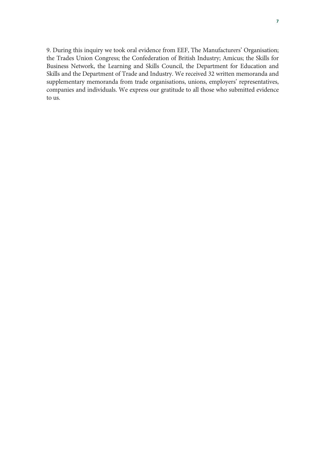9. During this inquiry we took oral evidence from EEF, The Manufacturers' Organisation; the Trades Union Congress; the Confederation of British Industry; Amicus; the Skills for Business Network, the Learning and Skills Council, the Department for Education and Skills and the Department of Trade and Industry. We received 32 written memoranda and supplementary memoranda from trade organisations, unions, employers' representatives, companies and individuals. We express our gratitude to all those who submitted evidence to us.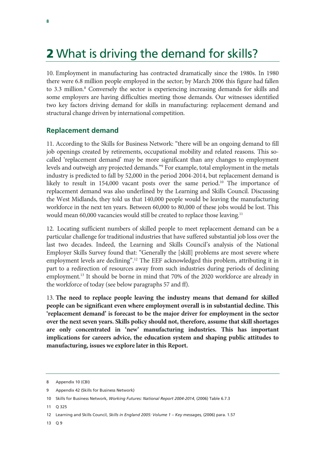# 2 What is driving the demand for skills?

10. Employment in manufacturing has contracted dramatically since the 1980s. In 1980 there were 6.8 million people employed in the sector; by March 2006 this figure had fallen to 3.3 million.<sup>8</sup> Conversely the sector is experiencing increasing demands for skills and some employers are having difficulties meeting those demands. Our witnesses identified two key factors driving demand for skills in manufacturing: replacement demand and structural change driven by international competition.

### **Replacement demand**

11. According to the Skills for Business Network: "there will be an ongoing demand to fill job openings created by retirements, occupational mobility and related reasons. This socalled 'replacement demand' may be more significant than any changes to employment levels and outweigh any projected demands."9 For example, total employment in the metals industry is predicted to fall by 52,000 in the period 2004-2014, but replacement demand is likely to result in  $154,000$  vacant posts over the same period.<sup>10</sup> The importance of replacement demand was also underlined by the Learning and Skills Council. Discussing the West Midlands, they told us that 140,000 people would be leaving the manufacturing workforce in the next ten years. Between 60,000 to 80,000 of these jobs would be lost. This would mean 60,000 vacancies would still be created to replace those leaving.<sup>11</sup>

12. Locating sufficient numbers of skilled people to meet replacement demand can be a particular challenge for traditional industries that have suffered substantial job loss over the last two decades. Indeed, the Learning and Skills Council's analysis of the National Employer Skills Survey found that: "Generally the [skill] problems are most severe where employment levels are declining".12 The EEF acknowledged this problem, attributing it in part to a redirection of resources away from such industries during periods of declining employment.13 It should be borne in mind that 70% of the 2020 workforce are already in the workforce of today (see below paragraphs 57 and ff).

13. **The need to replace people leaving the industry means that demand for skilled people can be significant even where employment overall is in substantial decline. This 'replacement demand' is forecast to be the major driver for employment in the sector over the next seven years. Skills policy should not, therefore, assume that skill shortages are only concentrated in 'new' manufacturing industries. This has important implications for careers advice, the education system and shaping public attitudes to manufacturing, issues we explore later in this Report.**

11 Q 325

13 Q 9

<sup>8</sup> Appendix 10 (CBI)

<sup>9</sup> Appendix 42 (Skills for Business Network)

<sup>10</sup> Skills for Business Network, *Working Futures: National Report 2004-2014*, (2006) Table 6.7.3

<sup>12</sup> Learning and Skills Council, *Skills in England 2005: Volume 1 – Key messages,* (2006) para. 1.57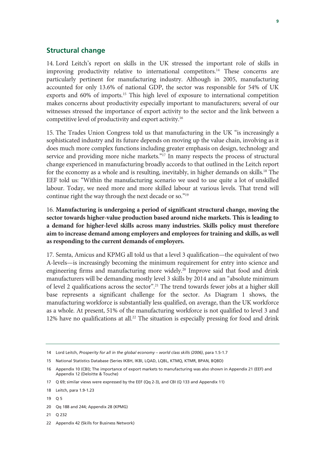### **Structural change**

14. Lord Leitch's report on skills in the UK stressed the important role of skills in improving productivity relative to international competitors.<sup>14</sup> These concerns are particularly pertinent for manufacturing industry. Although in 2005, manufacturing accounted for only 13.6% of national GDP, the sector was responsible for 54% of UK exports and 60% of imports.15 This high level of exposure to international competition makes concerns about productivity especially important to manufacturers; several of our witnesses stressed the importance of export activity to the sector and the link between a competitive level of productivity and export activity.16

15. The Trades Union Congress told us that manufacturing in the UK "is increasingly a sophisticated industry and its future depends on moving up the value chain, involving as it does much more complex functions including greater emphasis on design, technology and service and providing more niche markets."<sup>17</sup> In many respects the process of structural change experienced in manufacturing broadly accords to that outlined in the Leitch report for the economy as a whole and is resulting, inevitably, in higher demands on skills.<sup>18</sup> The EEF told us: "Within the manufacturing scenario we used to use quite a lot of unskilled labour. Today, we need more and more skilled labour at various levels. That trend will continue right the way through the next decade or so."19

16. **Manufacturing is undergoing a period of significant structural change, moving the sector towards higher-value production based around niche markets. This is leading to a demand for higher-level skills across many industries. Skills policy must therefore aim to increase demand among employers and employees for training and skills, as well as responding to the current demands of employers.**

17. Semta, Amicus and KPMG all told us that a level 3 qualification—the equivalent of two A-levels—is increasingly becoming the minimum requirement for entry into science and engineering firms and manufacturing more widely.<sup>20</sup> Improve said that food and drink manufacturers will be demanding mostly level 3 skills by 2014 and an "absolute minimum of level 2 qualifications across the sector".<sup>21</sup> The trend towards fewer jobs at a higher skill base represents a significant challenge for the sector. As Diagram 1 shows, the manufacturing workforce is substantially less qualified, on average, than the UK workforce as a whole. At present, 51% of the manufacturing workforce is not qualified to level 3 and 12% have no qualifications at all.<sup>22</sup> The situation is especially pressing for food and drink

- 21 Q 232
- 22 Appendix 42 (Skills for Business Network)

<sup>14</sup> Lord Leitch, *Prosperity for all in the global economy – world class skills (2006)*, para 1.5-1.7

<sup>15</sup> National Statistics Database (Series IKBH, IKBI, LQAD, LQBL, KTMQ, KTMR, BPAN, BQBD)

<sup>16</sup> Appendix 10 (CBI); The importance of export markets to manufacturing was also shown in Appendix 21 (EEF) and Appendix 12 (Deloitte & Touche)

<sup>17</sup> Q 69; similar views were expressed by the EEF (Qq 2-3), and CBI (Q 133 and Appendix 11)

<sup>18</sup> Leitch, para 1.9-1.23

<sup>19</sup> Q 5

<sup>20</sup> Qq 188 and 244; Appendix 28 (KPMG)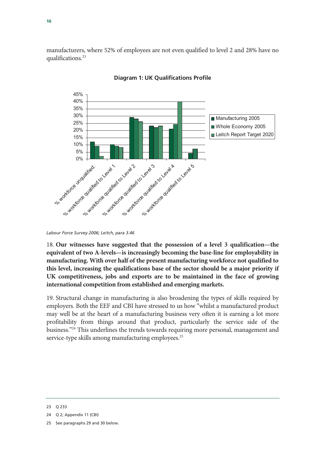manufacturers, where 52% of employees are not even qualified to level 2 and 28% have no qualifications.<sup>23</sup>



### **Diagram 1: UK Qualifications Profile**

18. **Our witnesses have suggested that the possession of a level 3 qualification—the equivalent of two A-levels—is increasingly becoming the base-line for employability in manufacturing. With over half of the present manufacturing workforce not qualified to this level, increasing the qualifications base of the sector should be a major priority if UK competitiveness, jobs and exports are to be maintained in the face of growing international competition from established and emerging markets.**

19. Structural change in manufacturing is also broadening the types of skills required by employers. Both the EEF and CBI have stressed to us how "whilst a manufactured product may well be at the heart of a manufacturing business very often it is earning a lot more profitability from things around that product, particularly the service side of the business."24 This underlines the trends towards requiring more personal, management and service-type skills among manufacturing employees.<sup>25</sup>

*Labour Force Survey 2006; Leitch, para 3.46* 

<sup>23</sup> Q 233

<sup>24</sup> Q 2; Appendix 11 (CBI)

<sup>25</sup> See paragraphs 29 and 30 below.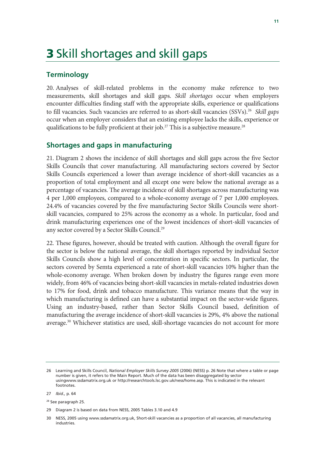# 3 Skill shortages and skill gaps

### **Terminology**

20. Analyses of skill-related problems in the economy make reference to two measurements, skill shortages and skill gaps. *Skill shortages* occur when employers encounter difficulties finding staff with the appropriate skills, experience or qualifications to fill vacancies. Such vacancies are referred to as short-skill vacancies (SSVs).26 *Skill gaps*  occur when an employer considers that an existing employee lacks the skills, experience or qualifications to be fully proficient at their job.<sup>27</sup> This is a subjective measure.<sup>28</sup>

### **Shortages and gaps in manufacturing**

21. Diagram 2 shows the incidence of skill shortages and skill gaps across the five Sector Skills Councils that cover manufacturing. All manufacturing sectors covered by Sector Skills Councils experienced a lower than average incidence of short-skill vacancies as a proportion of total employment and all except one were below the national average as a percentage of vacancies. The average incidence of skill shortages across manufacturing was 4 per 1,000 employees, compared to a whole-economy average of 7 per 1,000 employees. 24.4% of vacancies covered by the five manufacturing Sector Skills Councils were shortskill vacancies, compared to 25% across the economy as a whole. In particular, food and drink manufacturing experiences one of the lowest incidences of short-skill vacancies of any sector covered by a Sector Skills Council.<sup>29</sup>

22. These figures, however, should be treated with caution. Although the overall figure for the sector is below the national average, the skill shortages reported by individual Sector Skills Councils show a high level of concentration in specific sectors. In particular, the sectors covered by Semta experienced a rate of short-skill vacancies 10% higher than the whole-economy average. When broken down by industry the figures range even more widely, from 46% of vacancies being short-skill vacancies in metals-related industries down to 17% for food, drink and tobacco manufacture. This variance means that the way in which manufacturing is defined can have a substantial impact on the sector-wide figures. Using an industry-based, rather than Sector Skills Council based, definition of manufacturing the average incidence of short-skill vacancies is 29%, 4% above the national average.<sup>30</sup> Whichever statistics are used, skill-shortage vacancies do not account for more

<sup>26</sup> Learning and Skills Council, *National Employer Skills Survey 2005* (2006) (NESS) p. 26 Note that where a table or page number is given, it refers to the Main Report. Much of the data has been disaggregated by sector usingwww.ssdamatrix.org.uk or http://researchtools.lsc.gov.uk/ness/home.asp. This is indicated in the relevant footnotes.

<sup>27</sup> *Ibid.,* p. 64

<sup>28</sup> See paragraph 25.

<sup>29</sup> Diagram 2 is based on data from NESS, 2005 Tables 3.10 and 4.9

<sup>30</sup> NESS, 2005 using www.ssdamatrix.org.uk, Short-skill vacancies as a proportion of all vacancies, all manufacturing industries.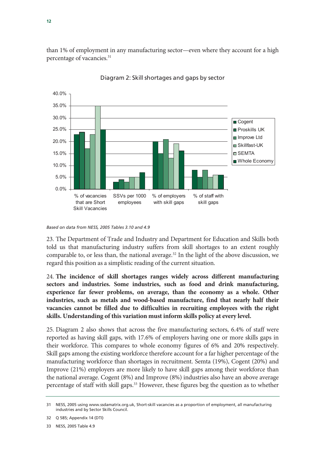than 1% of employment in any manufacturing sector—even where they account for a high percentage of vacancies.<sup>31</sup>



Diagram 2: Skill shortages and gaps by sector

23. The Department of Trade and Industry and Department for Education and Skills both told us that manufacturing industry suffers from skill shortages to an extent roughly comparable to, or less than, the national average.<sup>32</sup> In the light of the above discussion, we regard this position as a simplistic reading of the current situation.

24. **The incidence of skill shortages ranges widely across different manufacturing sectors and industries. Some industries, such as food and drink manufacturing, experience far fewer problems, on average, than the economy as a whole. Other industries, such as metals and wood-based manufacture, find that nearly half their vacancies cannot be filled due to difficulties in recruiting employees with the right skills. Understanding of this variation must inform skills policy at every level.**

25. Diagram 2 also shows that across the five manufacturing sectors, 6.4% of staff were reported as having skill gaps, with 17.6% of employers having one or more skills gaps in their workforce. This compares to whole economy figures of 6% and 20% respectively. Skill gaps among the existing workforce therefore account for a far higher percentage of the manufacturing workforce than shortages in recruitment. Semta (19%), Cogent (20%) and Improve (21%) employers are more likely to have skill gaps among their workforce than the national average. Cogent (8%) and Improve (8%) industries also have an above average percentage of staff with skill gaps.<sup>33</sup> However, these figures beg the question as to whether

*Based on data from NESS, 2005 Tables 3.10 and 4.9*

<sup>31</sup> NESS, 2005 using www.ssdamatrix.org.uk, Short-skill vacancies as a proportion of employment, all manufacturing industries and by Sector Skills Council.

<sup>32</sup> Q 585; Appendix 14 (DTI)

<sup>33</sup> NESS, 2005 Table 4.9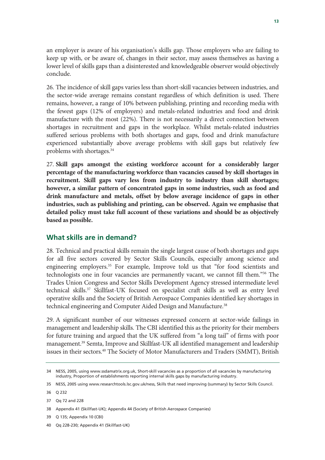an employer is aware of his organisation's skills gap. Those employers who are failing to keep up with, or be aware of, changes in their sector, may assess themselves as having a lower level of skills gaps than a disinterested and knowledgeable observer would objectively conclude.

26. The incidence of skill gaps varies less than short-skill vacancies between industries, and the sector-wide average remains constant regardless of which definition is used. There remains, however, a range of 10% between publishing, printing and recording media with the fewest gaps (12% of employers) and metals-related industries and food and drink manufacture with the most (22%). There is not necessarily a direct connection between shortages in recruitment and gaps in the workplace. Whilst metals-related industries suffered serious problems with both shortages and gaps, food and drink manufacture experienced substantially above average problems with skill gaps but relatively few problems with shortages.34

27. **Skill gaps amongst the existing workforce account for a considerably larger percentage of the manufacturing workforce than vacancies caused by skill shortages in recruitment. Skill gaps vary less from industry to industry than skill shortages; however, a similar pattern of concentrated gaps in some industries, such as food and drink manufacture and metals, offset by below average incidence of gaps in other industries, such as publishing and printing, can be observed. Again we emphasise that detailed policy must take full account of these variations and should be as objectively based as possible.**

### **What skills are in demand?**

28. Technical and practical skills remain the single largest cause of both shortages and gaps for all five sectors covered by Sector Skills Councils, especially among science and engineering employers.<sup>35</sup> For example, Improve told us that "for food scientists and technologists one in four vacancies are permanently vacant, we cannot fill them."36 The Trades Union Congress and Sector Skills Development Agency stressed intermediate level technical skills.37 Skillfast-UK focused on specialist craft skills as well as entry level operative skills and the Society of British Aerospace Companies identified key shortages in technical engineering and Computer Aided Design and Manufacture.<sup>38</sup>

29. A significant number of our witnesses expressed concern at sector-wide failings in management and leadership skills. The CBI identified this as the priority for their members for future training and argued that the UK suffered from "a long tail" of firms with poor management.39 Semta, Improve and Skillfast-UK all identified management and leadership issues in their sectors.40 The Society of Motor Manufacturers and Traders (SMMT), British

<sup>34</sup> NESS, 2005, using www.ssdamatrix.org.uk, Short-skill vacancies as a proportion of all vacancies by manufacturing industry, Proportion of establishments reporting internal skills gaps by manufacturing industry.

<sup>35</sup> NESS, 2005 using www.researchtools.lsc.gov.uk/ness, Skills that need improving (summary) by Sector Skills Council.

<sup>36</sup> Q 232

<sup>37</sup> Qq 72 and 228

<sup>38</sup> Appendix 41 (Skillfast-UK); Appendix 44 (Society of British Aerospace Companies)

<sup>39</sup> Q 135; Appendix 10 (CBI)

<sup>40</sup> Qq 228-230; Appendix 41 (Skillfast-UK)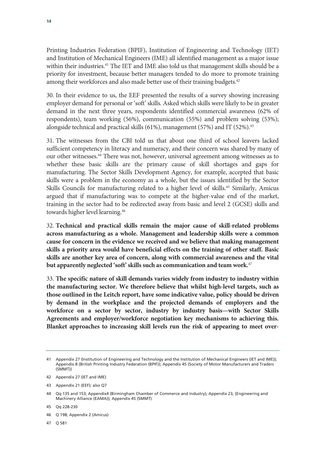Printing Industries Federation (BPIF), Institution of Engineering and Technology (IET) and Institution of Mechanical Engineers (IME) all identified management as a major issue within their industries.<sup>41</sup> The IET and IME also told us that management skills should be a priority for investment, because better managers tended to do more to promote training among their workforces and also made better use of their training budgets.<sup>42</sup>

30. In their evidence to us, the EEF presented the results of a survey showing increasing employer demand for personal or 'soft' skills. Asked which skills were likely to be in greater demand in the next three years, respondents identified commercial awareness (62% of respondents), team working (56%), communication (55%) and problem solving (53%); alongside technical and practical skills  $(61\%)$ , management  $(57\%)$  and IT  $(52\%)$ .<sup>43</sup>

31. The witnesses from the CBI told us that about one third of school leavers lacked sufficient competency in literacy and numeracy, and their concern was shared by many of our other witnesses.44 There was not, however, universal agreement among witnesses as to whether these basic skills are the primary cause of skill shortages and gaps for manufacturing. The Sector Skills Development Agency, for example, accepted that basic skills were a problem in the economy as a whole, but the issues identified by the Sector Skills Councils for manufacturing related to a higher level of skills.<sup>45</sup> Similarly, Amicus argued that if manufacturing was to compete at the higher-value end of the market, training in the sector had to be redirected away from basic and level 2 (GCSE) skills and towards higher level learning.<sup>46</sup>

32. **Technical and practical skills remain the major cause of skill-related problems across manufacturing as a whole. Management and leadership skills were a common cause for concern in the evidence we received and we believe that making management skills a priority area would have beneficial effects on the training of other staff. Basic skills are another key area of concern, along with commercial awareness and the vital but apparently neglected 'soft' skills such as communication and team work.**<sup>47</sup>

33. **The specific nature of skill demands varies widely from industry to industry within the manufacturing sector. We therefore believe that whilst high-level targets, such as those outlined in the Leitch report, have some indicative value, policy should be driven by demand in the workplace and the projected demands of employers and the workforce on a sector by sector, industry by industry basis—with Sector Skills Agreements and employer/workforce negotiation key mechanisms to achieving this. Blanket approaches to increasing skill levels run the risk of appearing to meet over-**

47 Q 581

<sup>41</sup> Appendix 27 (Institution of Engineering and Technology and the Institution of Mechanical Engineers (IET and IME)); Appendix 8 (British Printing Industry Federation (BPIF)); Appendix 45 (Society of Motor Manufacturers and Traders (SMMT))

<sup>42</sup> Appendix 27 (IET and IME)

<sup>43</sup> Appendix 21 (EEF); also Q7

<sup>44</sup> Qq 135 and 153; Appendix4 (Birmingham Chamber of Commerce and Industry); Appendix 23, (Engineering and Machinery Alliance (EAMA)); Appendix 45 (SMMT)

<sup>45</sup> Qq 228-230

<sup>46</sup> Q 198; Appendix 2 (Amicus)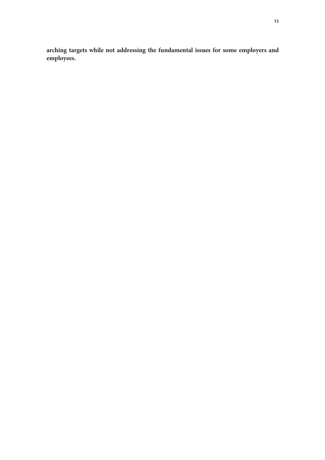**arching targets while not addressing the fundamental issues for some employers and employees.**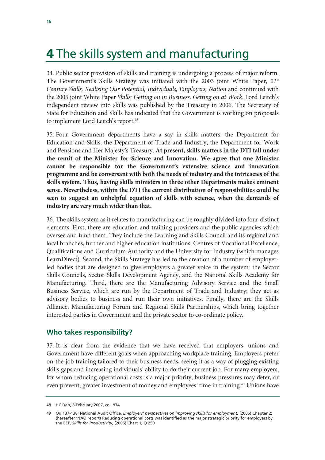# 4 The skills system and manufacturing

34. Public sector provision of skills and training is undergoing a process of major reform. The Government's Skills Strategy was initiated with the 2003 joint White Paper, *21st Century Skills, Realising Our Potential, Individuals, Employers, Nation* and continued with the 2005 joint White Paper *Skills: Getting on in Business, Getting on at Work*. Lord Leitch's independent review into skills was published by the Treasury in 2006. The Secretary of State for Education and Skills has indicated that the Government is working on proposals to implement Lord Leitch's report.<sup>48</sup>

35. Four Government departments have a say in skills matters: the Department for Education and Skills, the Department of Trade and Industry, the Department for Work and Pensions and Her Majesty's Treasury. **At present, skills matters in the DTI fall under the remit of the Minister for Science and Innovation. We agree that one Minister cannot be responsible for the Government's extensive science and innovation programme and be conversant with both the needs of industry and the intricacies of the skills system. Thus, having skills ministers in three other Departments makes eminent sense. Nevertheless, within the DTI the current distribution of responsibilities could be seen to suggest an unhelpful equation of skills with science, when the demands of industry are very much wider than that.**

36. The skills system as it relates to manufacturing can be roughly divided into four distinct elements. First, there are education and training providers and the public agencies which oversee and fund them. They include the Learning and Skills Council and its regional and local branches, further and higher education institutions, Centres of Vocational Excellence, Qualifications and Curriculum Authority and the University for Industry (which manages LearnDirect). Second, the Skills Strategy has led to the creation of a number of employerled bodies that are designed to give employers a greater voice in the system: the Sector Skills Councils, Sector Skills Development Agency, and the National Skills Academy for Manufacturing. Third, there are the Manufacturing Advisory Service and the Small Business Service, which are run by the Department of Trade and Industry; they act as advisory bodies to business and run their own initiatives. Finally, there are the Skills Alliance, Manufacturing Forum and Regional Skills Partnerships, which bring together interested parties in Government and the private sector to co-ordinate policy.

### **Who takes responsibility?**

37. It is clear from the evidence that we have received that employers, unions and Government have different goals when approaching workplace training. Employers prefer on-the-job training tailored to their business needs, seeing it as a way of plugging existing skills gaps and increasing individuals' ability to do their current job. For many employers, for whom reducing operational costs is a major priority, business pressures may deter, or even prevent, greater investment of money and employees' time in training.<sup>49</sup> Unions have

<sup>48</sup> HC Deb, 8 February 2007, col. 974

<sup>49</sup> Qq 137-138; National Audit Office, *Employers' perspectives on improving skills for employment,* (2006) Chapter 2; (hereafter 'NAO report) Reducing operational costs was identified as the major strategic priority for employers by the EEF, *Skills for Productivity,* (2006) Chart 1; Q 250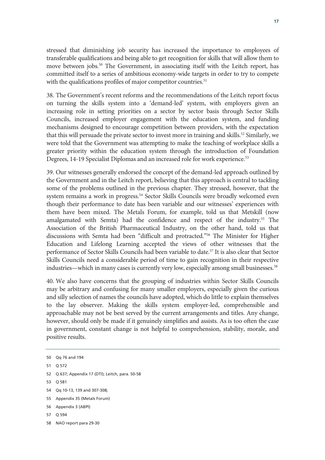stressed that diminishing job security has increased the importance to employees of transferable qualifications and being able to get recognition for skills that will allow them to move between jobs.<sup>50</sup> The Government, in associating itself with the Leitch report, has committed itself to a series of ambitious economy-wide targets in order to try to compete with the qualifications profiles of major competitor countries.<sup>51</sup>

38. The Government's recent reforms and the recommendations of the Leitch report focus on turning the skills system into a 'demand-led' system, with employers given an increasing role in setting priorities on a sector by sector basis through Sector Skills Councils, increased employer engagement with the education system, and funding mechanisms designed to encourage competition between providers, with the expectation that this will persuade the private sector to invest more in training and skills.<sup>52</sup> Similarly, we were told that the Government was attempting to make the teaching of workplace skills a greater priority within the education system through the introduction of Foundation Degrees, 14-19 Specialist Diplomas and an increased role for work experience.<sup>53</sup>

39. Our witnesses generally endorsed the concept of the demand-led approach outlined by the Government and in the Leitch report, believing that this approach is central to tackling some of the problems outlined in the previous chapter. They stressed, however, that the system remains a work in progress.<sup>54</sup> Sector Skills Councils were broadly welcomed even though their performance to date has been variable and our witnesses' experiences with them have been mixed. The Metals Forum, for example, told us that Metskill (now amalgamated with Semta) had the confidence and respect of the industry.<sup>55</sup> The Association of the British Pharmaceutical Industry, on the other hand, told us that discussions with Semta had been "difficult and protracted."56 The Minister for Higher Education and Lifelong Learning accepted the views of other witnesses that the performance of Sector Skills Councils had been variable to date.<sup>57</sup> It is also clear that Sector Skills Councils need a considerable period of time to gain recognition in their respective industries—which in many cases is currently very low, especially among small businesses.<sup>58</sup>

40. We also have concerns that the grouping of industries within Sector Skills Councils may be arbitrary and confusing for many smaller employers, especially given the curious and silly selection of names the councils have adopted, which do little to explain themselves to the lay observer. Making the skills system employer-led, comprehensible and approachable may not be best served by the current arrangements and titles. Any change, however, should only be made if it genuinely simplifies and assists. As is too often the case in government, constant change is not helpful to comprehension, stability, morale, and positive results.

- 52 Q 637; Appendix 17 (DTI); Leitch, para. 50-58
- 53 Q 581
- 54 Qq 10-13, 139 and 307-308;
- 55 Appendix 35 (Metals Forum)
- 56 Appendix 3 (ABPI)
- 57 Q 594
- 58 NAO report para 29-30

<sup>50</sup> Qq 76 and 194

<sup>51</sup> Q 572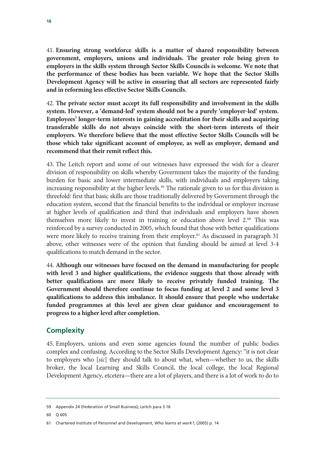41. **Ensuring strong workforce skills is a matter of shared responsibility between government, employers, unions and individuals. The greater role being given to employers in the skills system through Sector Skills Councils is welcome. We note that the performance of these bodies has been variable. We hope that the Sector Skills Development Agency will be active in ensuring that all sectors are represented fairly and in reforming less effective Sector Skills Councils.**

42. **The private sector must accept its full responsibility and involvement in the skills system. However, a 'demand-led' system should not be a purely 'employer-led' system. Employees' longer-term interests in gaining accreditation for their skills and acquiring transferable skills do not always coincide with the short-term interests of their employers. We therefore believe that the most effective Sector Skills Councils will be those which take significant account of employee, as well as employer, demand and recommend that their remit reflect this.**

43. The Leitch report and some of our witnesses have expressed the wish for a clearer division of responsibility on skills whereby Government takes the majority of the funding burden for basic and lower intermediate skills, with individuals and employers taking increasing responsibility at the higher levels.<sup>59</sup> The rationale given to us for this division is threefold: first that basic skills are those traditionally delivered by Government through the education system, second that the financial benefits to the individual or employer increase at higher levels of qualification and third that individuals and employers have shown themselves more likely to invest in training or education above level 2.60 This was reinforced by a survey conducted in 2005, which found that those with better qualifications were more likely to receive training from their employer.<sup>61</sup> As discussed in paragraph 31 above, other witnesses were of the opinion that funding should be aimed at level 3-4 qualifications to match demand in the sector.

44. **Although our witnesses have focused on the demand in manufacturing for people with level 3 and higher qualifications, the evidence suggests that those already with better qualifications are more likely to receive privately funded training. The Government should therefore continue to focus funding at level 2 and some level 3 qualifications to address this imbalance. It should ensure that people who undertake funded programmes at this level are given clear guidance and encouragement to progress to a higher level after completion.** 

### **Complexity**

45. Employers, unions and even some agencies found the number of public bodies complex and confusing. According to the Sector Skills Development Agency: "it is not clear to employers who [*sic*] they should talk to about what, when—whether to us, the skills broker, the local Learning and Skills Council, the local college, the local Regional Development Agency, etcetera—there are a lot of players, and there is a lot of work to do to

<sup>59</sup> Appendix 24 (Federation of Small Business); Leitch para 3.16

<sup>60</sup> Q 605

<sup>61</sup> Chartered Institute of Personnel and Development, *Who learns at work?*, (2005) p. 14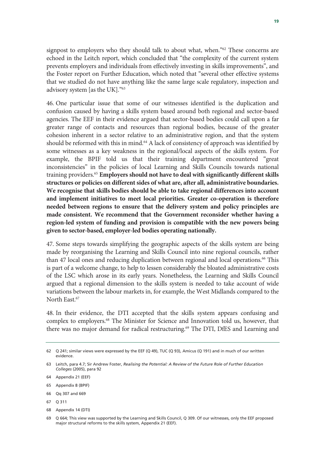signpost to employers who they should talk to about what, when."<sup>62</sup> These concerns are echoed in the Leitch report, which concluded that "the complexity of the current system prevents employers and individuals from effectively investing in skills improvements", and the Foster report on Further Education, which noted that "several other effective systems that we studied do not have anything like the same large scale regulatory, inspection and advisory system [as the UK]."63

46. One particular issue that some of our witnesses identified is the duplication and confusion caused by having a skills system based around both regional and sector-based agencies. The EEF in their evidence argued that sector-based bodies could call upon a far greater range of contacts and resources than regional bodies, because of the greater cohesion inherent in a sector relative to an administrative region, and that the system should be reformed with this in mind.<sup>64</sup> A lack of consistency of approach was identified by some witnesses as a key weakness in the regional/local aspects of the skills system. For example, the BPIF told us that their training department encountered "great inconsistencies" in the policies of local Learning and Skills Councils towards national training providers.65 **Employers should not have to deal with significantly different skills structures or policies on different sides of what are, after all, administrative boundaries. We recognise that skills bodies should be able to take regional differences into account and implement initiatives to meet local priorities. Greater co-operation is therefore needed between regions to ensure that the delivery system and policy principles are made consistent. We recommend that the Government reconsider whether having a region-led system of funding and provision is compatible with the new powers being given to sector-based, employer-led bodies operating nationally.**

47. Some steps towards simplifying the geographic aspects of the skills system are being made by reorganising the Learning and Skills Council into nine regional councils, rather than 47 local ones and reducing duplication between regional and local operations.66 This is part of a welcome change, to help to lessen considerably the bloated administrative costs of the LSC which arose in its early years. Nonetheless, the Learning and Skills Council argued that a regional dimension to the skills system is needed to take account of wide variations between the labour markets in, for example, the West Midlands compared to the North East.<sup>67</sup>

48. In their evidence, the DTI accepted that the skills system appears confusing and complex to employers.68 The Minister for Science and Innovation told us, however, that there was no major demand for radical restructuring.<sup>69</sup> The DTI, DfES and Learning and

<sup>62</sup> Q 241; similar views were expressed by the EEF (Q 49), TUC (Q 93), Amicus (Q 191) and in much of our written evidence.

<sup>63</sup> Leitch, para 4.7; Sir Andrew Foster, *Realising the Potential: A Review of the Future Role of Further Education Colleges* (2005), para 92

<sup>64</sup> Appendix 21 (EEF)

<sup>65</sup> Appendix 8 (BPIF)

<sup>66</sup> Qq 307 and 669

<sup>67</sup> Q 311

<sup>68</sup> Appendix 14 (DTI)

<sup>69</sup> Q 664; This view was supported by the Learning and Skills Council, Q 309. Of our witnesses, only the EEF proposed major structural reforms to the skills system, Appendix 21 (EEF).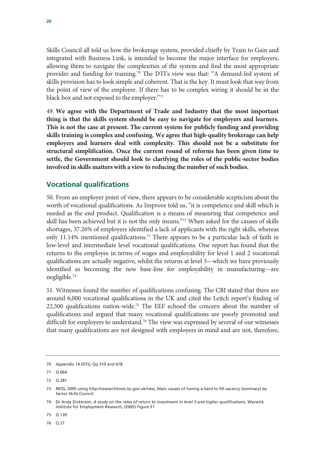Skills Council all told us how the brokerage system, provided chiefly by Train to Gain and integrated with Business Link, is intended to become the major interface for employers, allowing them to navigate the complexities of the system and find the most appropriate provider and funding for training.70 The DTI's view was that: "A demand-led system of skills provision has to look simple and coherent. That is the key. It must look that way from the point of view of the employer. If there has to be complex wiring it should be in the black box and not exposed to the employer."71

49. **We agree with the Department of Trade and Industry that the most important thing is that the skills system should be easy to navigate for employers and learners. This is not the case at present. The current system for publicly funding and providing skills training is complex and confusing. We agree that high-quality brokerage can help employers and learners deal with complexity. This should not be a substitute for structural simplification. Once the current round of reforms has been given time to settle, the Government should look to clarifying the roles of the public-sector bodies involved in skills matters with a view to reducing the number of such bodies.**

### **Vocational qualifications**

50. From an employer point of view, there appears to be considerable scepticism about the worth of vocational qualifications. As Improve told us, "it is competence and skill which is needed as the end product. Qualification is a means of measuring that competence and skill has been achieved but it is not the only means."72 When asked for the causes of skills shortages, 37.26% of employers identified a lack of applicants with the right skills, whereas only 11.14% mentioned qualifications.<sup>73</sup> There appears to be a particular lack of faith in low-level and intermediate level vocational qualifications. One report has found that the returns to the employee in terms of wages and employability for level 1 and 2 vocational qualifications are actually negative, whilst the returns at level 3—which we have previously identified as becoming the new base-line for employability in manufacturing—are negligible.74

51. Witnesses found the number of qualifications confusing. The CBI stated that there are around 6,000 vocational qualifications in the UK and cited the Leitch report's finding of 22,500 qualifications nation-wide.<sup>75</sup> The EEF echoed the concern about the number of qualifications and argued that many vocational qualifications are poorly promoted and difficult for employers to understand.<sup>76</sup> The view was expressed by several of our witnesses that many qualifications are not designed with employers in mind and are not, therefore,

76 Q 27

<sup>70</sup> Appendix 14 (DTI); Qq 310 and 618

<sup>71</sup> Q 664

<sup>72</sup> Q 281

<sup>73</sup> NESS, 2005 using http://researchtools.lsc.gov.uk/ness, Main causes of having a hard to fill vacancy (summary) by Sector Skills Council.

<sup>74</sup> Dr Andy Dickerson, *A study on the rates of return to investment in level 3 and higher qualifications*, Warwick Institute for Employment Research, (2005) Figure E1

<sup>75</sup> Q 139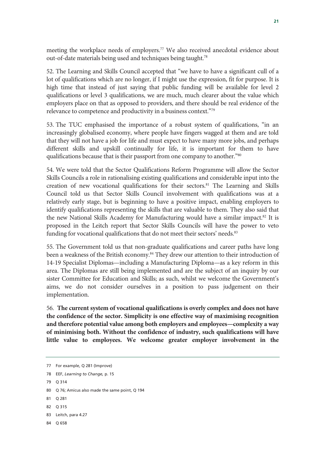meeting the workplace needs of employers.77 We also received anecdotal evidence about out-of-date materials being used and techniques being taught.<sup>78</sup>

52. The Learning and Skills Council accepted that "we have to have a significant cull of a lot of qualifications which are no longer, if I might use the expression, fit for purpose. It is high time that instead of just saying that public funding will be available for level 2 qualifications or level 3 qualifications, we are much, much clearer about the value which employers place on that as opposed to providers, and there should be real evidence of the relevance to competence and productivity in a business context."79

53. The TUC emphasised the importance of a robust system of qualifications, "in an increasingly globalised economy, where people have fingers wagged at them and are told that they will not have a job for life and must expect to have many more jobs, and perhaps different skills and upskill continually for life, it is important for them to have qualifications because that is their passport from one company to another."80

54. We were told that the Sector Qualifications Reform Programme will allow the Sector Skills Councils a role in rationalising existing qualifications and considerable input into the creation of new vocational qualifications for their sectors.<sup>81</sup> The Learning and Skills Council told us that Sector Skills Council involvement with qualifications was at a relatively early stage, but is beginning to have a positive impact, enabling employers to identify qualifications representing the skills that are valuable to them. They also said that the new National Skills Academy for Manufacturing would have a similar impact.<sup>82</sup> It is proposed in the Leitch report that Sector Skills Councils will have the power to veto funding for vocational qualifications that do not meet their sectors' needs.<sup>83</sup>

55. The Government told us that non-graduate qualifications and career paths have long been a weakness of the British economy.<sup>84</sup> They drew our attention to their introduction of 14-19 Specialist Diplomas—including a Manufacturing Diploma—as a key reform in this area. The Diplomas are still being implemented and are the subject of an inquiry by our sister Committee for Education and Skills; as such, whilst we welcome the Government's aims, we do not consider ourselves in a position to pass judgement on their implementation.

56. **The current system of vocational qualifications is overly complex and does not have the confidence of the sector. Simplicity is one effective way of maximising recognition and therefore potential value among both employers and employees—complexity a way of minimising both. Without the confidence of industry, such qualifications will have little value to employees. We welcome greater employer involvement in the** 

79 Q 314

- 81 Q 281
- 82 Q 315

<sup>77</sup> For example, Q 281 (Improve)

<sup>78</sup> EEF, *Learning to Change,* p. 15

<sup>80</sup> Q 76; Amicus also made the same point, Q 194

<sup>83</sup> Leitch, para 4.27

<sup>84</sup> Q 658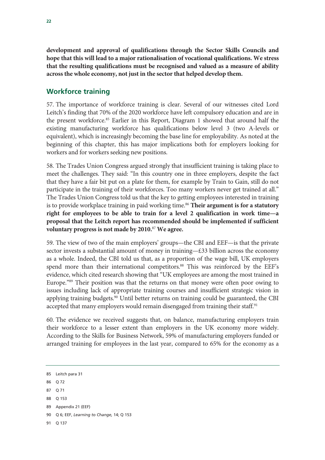**development and approval of qualifications through the Sector Skills Councils and hope that this will lead to a major rationalisation of vocational qualifications. We stress that the resulting qualifications must be recognised and valued as a measure of ability across the whole economy, not just in the sector that helped develop them.** 

### **Workforce training**

57. The importance of workforce training is clear. Several of our witnesses cited Lord Leitch's finding that 70% of the 2020 workforce have left compulsory education and are in the present workforce.85 Earlier in this Report, Diagram 1 showed that around half the existing manufacturing workforce has qualifications below level 3 (two A-levels or equivalent), which is increasingly becoming the base line for employability. As noted at the beginning of this chapter, this has major implications both for employers looking for workers and for workers seeking new positions.

58. The Trades Union Congress argued strongly that insufficient training is taking place to meet the challenges. They said: "In this country one in three employers, despite the fact that they have a fair bit put on a plate for them, for example by Train to Gain, still do not participate in the training of their workforces. Too many workers never get trained at all." The Trades Union Congress told us that the key to getting employees interested in training is to provide workplace training in paid working time.<sup>86</sup> Their argument is for a statutory **right for employees to be able to train for a level 2 qualification in work time—a proposal that the Leitch report has recommended should be implemented if sufficient voluntary progress is not made by 2010.**<sup>87</sup> **We agree.**

59. The view of two of the main employers' groups—the CBI and EEF—is that the private sector invests a substantial amount of money in training—£33 billion across the economy as a whole. Indeed, the CBI told us that, as a proportion of the wage bill, UK employers spend more than their international competitors.<sup>88</sup> This was reinforced by the EEF's evidence, which cited research showing that "UK employees are among the most trained in Europe."<sup>89</sup> Their position was that the returns on that money were often poor owing to issues including lack of appropriate training courses and insufficient strategic vision in applying training budgets.<sup>90</sup> Until better returns on training could be guaranteed, the CBI accepted that many employers would remain disengaged from training their staff.<sup>91</sup>

60. The evidence we received suggests that, on balance, manufacturing employers train their workforce to a lesser extent than employers in the UK economy more widely. According to the Skills for Business Network, 59% of manufacturing employers funded or arranged training for employees in the last year, compared to 65% for the economy as a

- 90 Q 6; EEF, *Learning to Change,* 14; Q 153
- 91 Q 137

<sup>85</sup> Leitch para 31

<sup>86 0.72</sup> 

<sup>87</sup> Q 71

<sup>88</sup> Q 153

<sup>89</sup> Appendix 21 (EEF)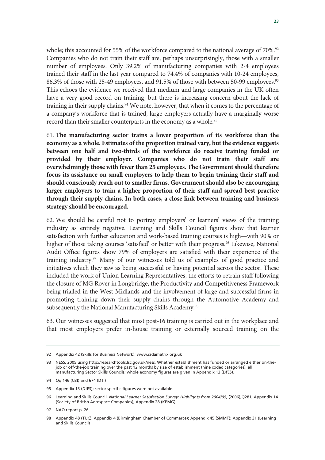whole; this accounted for 55% of the workforce compared to the national average of 70%.<sup>92</sup> Companies who do not train their staff are, perhaps unsurprisingly, those with a smaller number of employees. Only 39.2% of manufacturing companies with 2-4 employees trained their staff in the last year compared to 74.4% of companies with 10-24 employees, 86.3% of those with 25-49 employees, and 91.5% of those with between 50-99 employees.93 This echoes the evidence we received that medium and large companies in the UK often have a very good record on training, but there is increasing concern about the lack of training in their supply chains.<sup>94</sup> We note, however, that when it comes to the percentage of a company's workforce that is trained, large employers actually have a marginally worse record than their smaller counterparts in the economy as a whole.<sup>95</sup>

61. **The manufacturing sector trains a lower proportion of its workforce than the economy as a whole. Estimates of the proportion trained vary, but the evidence suggests between one half and two-thirds of the workforce do receive training funded or provided by their employer. Companies who do not train their staff are overwhelmingly those with fewer than 25 employees. The Government should therefore focus its assistance on small employers to help them to begin training their staff and should consciously reach out to smaller firms. Government should also be encouraging larger employers to train a higher proportion of their staff and spread best practice through their supply chains. In both cases, a close link between training and business strategy should be encouraged.**

62. We should be careful not to portray employers' or learners' views of the training industry as entirely negative. Learning and Skills Council figures show that learner satisfaction with further education and work-based training courses is high—with 90% or higher of those taking courses 'satisfied' or better with their progress.<sup>96</sup> Likewise, National Audit Office figures show 79% of employers are satisfied with their experience of the training industry.97 Many of our witnesses told us of examples of good practice and initiatives which they saw as being successful or having potential across the sector. These included the work of Union Learning Representatives, the efforts to retrain staff following the closure of MG Rover in Longbridge, the Productivity and Competitiveness Framework being trialled in the West Midlands and the involvement of large and successful firms in promoting training down their supply chains through the Automotive Academy and subsequently the National Manufacturing Skills Academy.<sup>98</sup>

63. Our witnesses suggested that most post-16 training is carried out in the workplace and that most employers prefer in-house training or externally sourced training on the

<sup>92</sup> Appendix 42 (Skills for Business Network); www.ssdamatrix.org.uk

<sup>93</sup> NESS, 2005 using http://researchtools.lsc.gov.uk/ness, Whether establishment has funded or arranged either on-thejob or off-the-job training over the past 12 months by size of establishment (nine coded categories), all manufacturing Sector Skills Councils; whole economy figures are given in Appendix 13 (DfES).

<sup>94</sup> Qq 146 (CBI) and 674 (DTI)

<sup>95</sup> Appendix 13 (DfES); sector specific figures were not available.

<sup>96</sup> Learning and Skills Council, *National Learner Satisfaction Survey: Highlights from 2004/05*, (2006);Q281; Appendix 14 (Society of British Aerospace Companies); Appendix 28 (KPMG)

<sup>97</sup> NAO report p. 26

<sup>98</sup> Appendix 48 (TUC); Appendix 4 (Birmingham Chamber of Commerce); Appendix 45 (SMMT); Appendix 31 (Learning and Skills Council)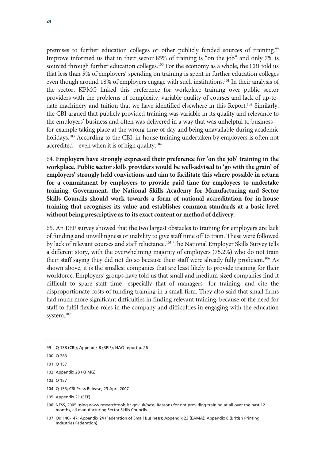premises to further education colleges or other publicly funded sources of training.99 Improve informed us that in their sector 85% of training is "on the job" and only 7% is sourced through further education colleges.<sup>100</sup> For the economy as a whole, the CBI told us that less than 5% of employers' spending on training is spent in further education colleges even though around 18% of employers engage with such institutions.<sup>101</sup> In their analysis of the sector, KPMG linked this preference for workplace training over public sector providers with the problems of complexity, variable quality of courses and lack of up-todate machinery and tuition that we have identified elsewhere in this Report.<sup>102</sup> Similarly, the CBI argued that publicly provided training was variable in its quality and relevance to the employers' business and often was delivered in a way that was unhelpful to business for example taking place at the wrong time of day and being unavailable during academic holidays.<sup>103</sup> According to the CBI, in-house training undertaken by employers is often not accredited—even when it is of high quality.<sup>104</sup>

64. **Employers have strongly expressed their preference for 'on the job' training in the workplace. Public sector skills providers would be well-advised to 'go with the grain' of employers' strongly held convictions and aim to facilitate this where possible in return for a commitment by employers to provide paid time for employees to undertake training. Government, the National Skills Academy for Manufacturing and Sector Skills Councils should work towards a form of national accreditation for in-house training that recognises its value and establishes common standards at a basic level without being prescriptive as to its exact content or method of delivery.**

65. An EEF survey showed that the two largest obstacles to training for employers are lack of funding and unwillingness or inability to give staff time off to train. These were followed by lack of relevant courses and staff reluctance.<sup>105</sup> The National Employer Skills Survey tells a different story, with the overwhelming majority of employers (75.2%) who do not train their staff saying they did not do so because their staff were already fully proficient.<sup>106</sup> As shown above, it is the smallest companies that are least likely to provide training for their workforce. Employers' groups have told us that small and medium sized companies find it difficult to spare staff time—especially that of managers—for training, and cite the disproportionate costs of funding training in a small firm. They also said that small firms had much more significant difficulties in finding relevant training, because of the need for staff to fulfil flexible roles in the company and difficulties in engaging with the education system.<sup>107</sup>

<sup>99</sup> Q 138 (CBI); Appendix 8 (BPIF); NAO report p. 26

<sup>100</sup> Q 283

<sup>101</sup> Q 157

<sup>102</sup> Appendix 28 (KPMG)

<sup>103</sup> Q 157

<sup>104</sup> Q 153; CBI Press Release, 23 April 2007

<sup>105</sup> Appendix 21 (EEF)

<sup>106</sup> NESS, 2005 using www.researchtools.lsc.gov.uk/ness, Reasons for not providing training at all over the past 12 months, all manufacturing Sector Skills Councils.

<sup>107</sup> Qq 146-147; Appendix 24 (Federation of Small Business); Appendix 23 (EAMA); Appendix 8 (British Printing Industries Federation)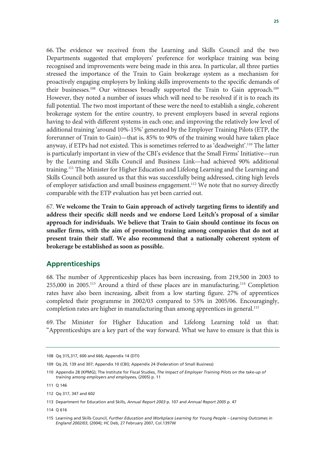66. The evidence we received from the Learning and Skills Council and the two Departments suggested that employers' preference for workplace training was being recognised and improvements were being made in this area. In particular, all three parties stressed the importance of the Train to Gain brokerage system as a mechanism for proactively engaging employers by linking skills improvements to the specific demands of their businesses.<sup>108</sup> Our witnesses broadly supported the Train to Gain approach.<sup>109</sup> However, they noted a number of issues which will need to be resolved if it is to reach its full potential. The two most important of these were the need to establish a single, coherent brokerage system for the entire country, to prevent employers based in several regions having to deal with different systems in each one; and improving the relatively low level of additional training 'around 10%-15%' generated by the Employer Training Pilots (ETP, the forerunner of Train to Gain)—that is, 85% to 90% of the training would have taken place anyway, if ETPs had not existed. This is sometimes referred to as 'deadweight'.<sup>110</sup> The latter is particularly important in view of the CBI's evidence that the Small Firms' Initiative—run by the Learning and Skills Council and Business Link—had achieved 90% additional training.111 The Minister for Higher Education and Lifelong Learning and the Learning and Skills Council both assured us that this was successfully being addressed, citing high levels of employer satisfaction and small business engagement.<sup>112</sup> We note that no survey directly comparable with the ETP evaluation has yet been carried out.

67. **We welcome the Train to Gain approach of actively targeting firms to identify and address their specific skill needs and we endorse Lord Leitch's proposal of a similar approach for individuals. We believe that Train to Gain should continue its focus on smaller firms, with the aim of promoting training among companies that do not at present train their staff. We also recommend that a nationally coherent system of brokerage be established as soon as possible.**

### **Apprenticeships**

68. The number of Apprenticeship places has been increasing, from 219,500 in 2003 to 255,000 in 2005.113 Around a third of these places are in manufacturing.114 Completion rates have also been increasing, albeit from a low starting figure. 27% of apprentices completed their programme in 2002/03 compared to 53% in 2005/06. Encouragingly, completion rates are higher in manufacturing than among apprentices in general.<sup>115</sup>

69. The Minister for Higher Education and Lifelong Learning told us that: "Apprenticeships are a key part of the way forward. What we have to ensure is that this is

<sup>108</sup> Qq 315,317, 600 and 666; Appendix 14 (DTI)

<sup>109</sup> Qq 20, 139 and 307; Appendix 10 (CBI); Appendix 24 (Federation of Small Business)

<sup>110</sup> Appendix 28 (KPMG); The Institute for Fiscal Studies, *The Impact of Employer Training Pilots on the take-up of training among employers and employees*, (2005) p. 11

<sup>111</sup> Q 146

<sup>112</sup> Qq 317, 347 and 602

<sup>113</sup> Department for Education and Skills, *Annual Report 2003* p. 107 and *Annual Report 2005* p. 47

<sup>114</sup> Q 616

<sup>115</sup> Learning and Skills Council, *Further Education and Workplace Learning for Young People – Learning Outcomes in England 2002/03*, (2004); HC Deb, 27 February 2007, Col.1397W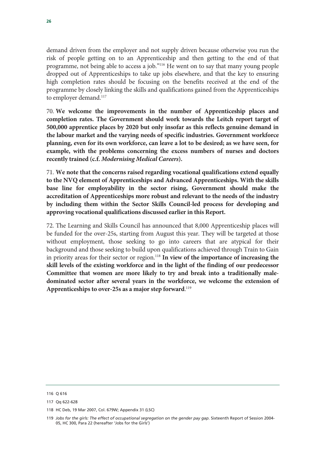demand driven from the employer and not supply driven because otherwise you run the risk of people getting on to an Apprenticeship and then getting to the end of that programme, not being able to access a job."116 He went on to say that many young people dropped out of Apprenticeships to take up jobs elsewhere, and that the key to ensuring high completion rates should be focusing on the benefits received at the end of the programme by closely linking the skills and qualifications gained from the Apprenticeships to employer demand.<sup>117</sup>

70. **We welcome the improvements in the number of Apprenticeship places and completion rates. The Government should work towards the Leitch report target of 500,000 apprentice places by 2020 but only insofar as this reflects genuine demand in the labour market and the varying needs of specific industries. Government workforce planning, even for its own workforce, can leave a lot to be desired; as we have seen, for example, with the problems concerning the excess numbers of nurses and doctors recently trained (c.f.** *Modernising Medical Careers***).**

71. **We note that the concerns raised regarding vocational qualifications extend equally to the NVQ element of Apprenticeships and Advanced Apprenticeships. With the skills base line for employability in the sector rising, Government should make the accreditation of Apprenticeships more robust and relevant to the needs of the industry by including them within the Sector Skills Council-led process for developing and approving vocational qualifications discussed earlier in this Report.** 

72. The Learning and Skills Council has announced that 8,000 Apprenticeship places will be funded for the over-25s, starting from August this year. They will be targeted at those without employment, those seeking to go into careers that are atypical for their background and those seeking to build upon qualifications achieved through Train to Gain in priority areas for their sector or region.<sup>118</sup> In view of the importance of increasing the **skill levels of the existing workforce and in the light of the finding of our predecessor Committee that women are more likely to try and break into a traditionally maledominated sector after several years in the workforce, we welcome the extension of Apprenticeships to over-25s as a major step forward**. 119

<sup>116</sup> Q 616

<sup>117</sup> Qq 622-628

<sup>118</sup> HC Deb, 19 Mar 2007, Col. 679W; Appendix 31 (LSC)

<sup>119</sup> *Jobs for the girls: The effect of occupational segregation on the gender pay gap*. Sixteenth Report of Session 2004- 05, HC 300, Para 22 (hereafter 'Jobs for the Girls')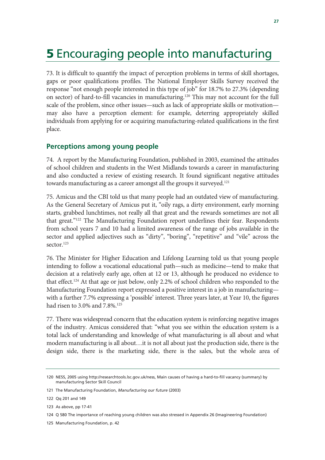# 5 Encouraging people into manufacturing

73. It is difficult to quantify the impact of perception problems in terms of skill shortages, gaps or poor qualifications profiles. The National Employer Skills Survey received the response "not enough people interested in this type of job" for 18.7% to 27.3% (depending on sector) of hard-to-fill vacancies in manufacturing.120 This may not account for the full scale of the problem, since other issues—such as lack of appropriate skills or motivation may also have a perception element: for example, deterring appropriately skilled individuals from applying for or acquiring manufacturing-related qualifications in the first place.

### **Perceptions among young people**

74. A report by the Manufacturing Foundation, published in 2003, examined the attitudes of school children and students in the West Midlands towards a career in manufacturing and also conducted a review of existing research. It found significant negative attitudes towards manufacturing as a career amongst all the groups it surveyed.<sup>121</sup>

75. Amicus and the CBI told us that many people had an outdated view of manufacturing. As the General Secretary of Amicus put it, "oily rags, a dirty environment, early morning starts, grabbed lunchtimes, not really all that great and the rewards sometimes are not all that great."122 The Manufacturing Foundation report underlines their fear. Respondents from school years 7 and 10 had a limited awareness of the range of jobs available in the sector and applied adjectives such as "dirty", "boring", "repetitive" and "vile" across the sector.<sup>123</sup>

76. The Minister for Higher Education and Lifelong Learning told us that young people intending to follow a vocational educational path—such as medicine—tend to make that decision at a relatively early age, often at 12 or 13, although he produced no evidence to that effect.124 At that age or just below, only 2.2% of school children who responded to the Manufacturing Foundation report expressed a positive interest in a job in manufacturing with a further 7.7% expressing a 'possible' interest. Three years later, at Year 10, the figures had risen to 3.0% and 7.8%.<sup>125</sup>

77. There was widespread concern that the education system is reinforcing negative images of the industry. Amicus considered that: "what you see within the education system is a total lack of understanding and knowledge of what manufacturing is all about and what modern manufacturing is all about…it is not all about just the production side, there is the design side, there is the marketing side, there is the sales, but the whole area of

<sup>120</sup> NESS, 2005 using http://researchtools.lsc.gov.uk/ness, Main causes of having a hard-to-fill vacancy (summary) by manufacturing Sector Skill Council

<sup>121</sup> The Manufacturing Foundation, *Manufacturing our future* (2003)

<sup>122</sup> Qq 201 and 149

<sup>123</sup> As above, pp 17-41

<sup>124</sup> Q 580 The importance of reaching young children was also stressed in Appendix 26 (Imagineering Foundation)

<sup>125</sup> Manufacturing Foundation, p. 42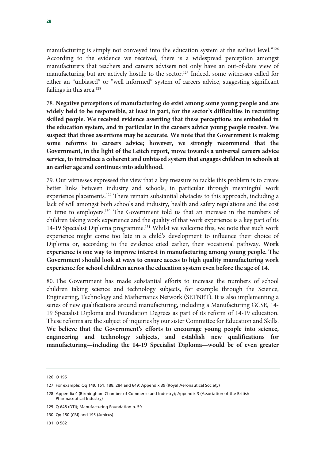manufacturing is simply not conveyed into the education system at the earliest level."<sup>126</sup> According to the evidence we received, there is a widespread perception amongst manufacturers that teachers and careers advisers not only have an out-of-date view of manufacturing but are actively hostile to the sector.<sup>127</sup> Indeed, some witnesses called for either an "unbiased" or "well informed" system of careers advice, suggesting significant failings in this area.<sup>128</sup>

78. **Negative perceptions of manufacturing do exist among some young people and are widely held to be responsible, at least in part, for the sector's difficulties in recruiting skilled people. We received evidence asserting that these perceptions are embedded in the education system, and in particular in the careers advice young people receive. We suspect that those assertions may be accurate. We note that the Government is making some reforms to careers advice; however, we strongly recommend that the Government, in the light of the Leitch report, move towards a universal careers advice service, to introduce a coherent and unbiased system that engages children in schools at an earlier age and continues into adulthood.**

79. Our witnesses expressed the view that a key measure to tackle this problem is to create better links between industry and schools, in particular through meaningful work experience placements.<sup>129</sup> There remain substantial obstacles to this approach, including a lack of will amongst both schools and industry, health and safety regulations and the cost in time to employers.130 The Government told us that an increase in the numbers of children taking work experience and the quality of that work experience is a key part of its 14-19 Specialist Diploma programme.131 Whilst we welcome this, we note that such work experience might come too late in a child's development to influence their choice of Diploma or, according to the evidence cited earlier, their vocational pathway. **Work experience is one way to improve interest in manufacturing among young people. The Government should look at ways to ensure access to high quality manufacturing work experience for school children across the education system even before the age of 14.**

80. The Government has made substantial efforts to increase the numbers of school children taking science and technology subjects, for example through the Science, Engineering, Technology and Mathematics Network (SETNET). It is also implementing a series of new qualifications around manufacturing, including a Manufacturing GCSE, 14- 19 Specialist Diploma and Foundation Degrees as part of its reform of 14-19 education. These reforms are the subject of inquiries by our sister Committee for Education and Skills. **We believe that the Government's efforts to encourage young people into science, engineering and technology subjects, and establish new qualifications for manufacturing—including the 14-19 Specialist Diploma—would be of even greater** 

131 Q 582

<sup>126</sup> Q 195

<sup>127</sup> For example: Qq 149, 151, 188, 284 and 649; Appendix 39 (Royal Aeronautical Society)

<sup>128</sup> Appendix 4 (Birmingham Chamber of Commerce and Industry); Appendix 3 (Association of the British Pharmaceutical Industry)

<sup>129</sup> Q 648 (DTI); Manufacturing Foundation p. 59

<sup>130</sup> Qq 150 (CBI) and 195 (Amicus)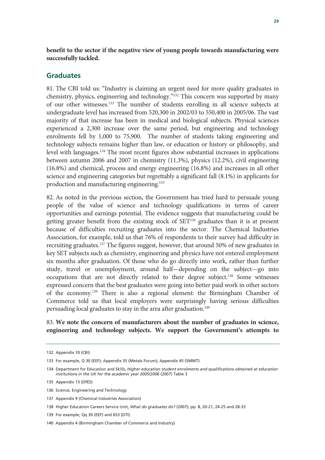**benefit to the sector if the negative view of young people towards manufacturing were successfully tackled.**

### **Graduates**

81. The CBI told us: "Industry is claiming an urgent need for more quality graduates in chemistry, physics, engineering and technology."132 This concern was supported by many of our other witnesses.133 The number of students enrolling in all science subjects at undergraduate level has increased from 520,300 in 2002/03 to 550,400 in 2005/06. The vast majority of that increase has been in medical and biological subjects. Physical sciences experienced a 2,300 increase over the same period, but engineering and technology enrolments fell by 1,000 to 75,900. The number of students taking engineering and technology subjects remains higher than law, or education or history or philosophy, and level with languages.134 The most recent figures show substantial increases in applications between autumn 2006 and 2007 in chemistry (11.3%), physics (12.2%), civil engineering (16.8%) and chemical, process and energy engineering (16.8%) and increases in all other science and engineering categories but regrettably a significant fall (8.1%) in applicants for production and manufacturing engineering.135

82. As noted in the previous section, the Government has tried hard to persuade young people of the value of science and technology qualifications in terms of career opportunities and earnings potential. The evidence suggests that manufacturing could be getting greater benefit from the existing stock of SET<sup>136</sup> graduates than it is at present because of difficulties recruiting graduates into the sector. The Chemical Industries Association, for example, told us that 76% of respondents to their survey had difficulty in recruiting graduates.<sup>137</sup> The figures suggest, however, that around 50% of new graduates in key SET subjects such as chemistry, engineering and physics have not entered employment six months after graduation. Of those who do go directly into work, rather than further study, travel or unemployment, around half—depending on the subject—go into occupations that are not directly related to their degree subject.138 Some witnesses expressed concern that the best graduates were going into better paid work in other sectors of the economy.139 There is also a regional element: the Birmingham Chamber of Commerce told us that local employers were surprisingly having serious difficulties persuading local graduates to stay in the area after graduation.<sup>140</sup>

### 83. **We note the concern of manufacturers about the number of graduates in science, engineering and technology subjects. We support the Government's attempts to**

<sup>132</sup> Appendix 10 (CBI)

<sup>133</sup> For example, Q 30 (EEF); Appendix 35 (Metals Forum); Appendix 45 (SMMT)

<sup>134</sup> Department for Education and Skills, *Higher education student enrolments and qualifications obtained at education institutions in the UK for the academic year 2005/2006* (2007) Table 3

<sup>135</sup> Appendix 13 (DfES)

<sup>136</sup> Science, Engineering and Technology

<sup>137</sup> Appendix 9 (Chemical Industries Association)

<sup>138</sup> Higher Education Careers Service Unit, *What do graduates do?* (2007); pp. 8, 20-21, 24-25 and 28-33

<sup>139</sup> For example, Qq 30 (EEF) and 653 (DTI)

<sup>140</sup> Appendix 4 (Birmingham Chamber of Commerce and Industry)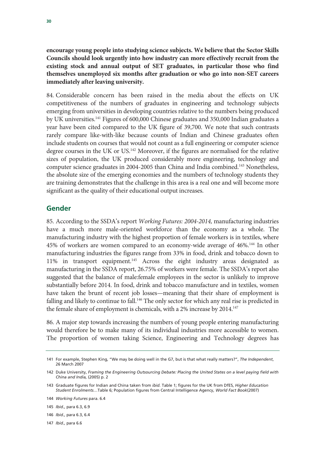**encourage young people into studying science subjects. We believe that the Sector Skills Councils should look urgently into how industry can more effectively recruit from the existing stock and annual output of SET graduates, in particular those who find themselves unemployed six months after graduation or who go into non-SET careers immediately after leaving university.**

84. Considerable concern has been raised in the media about the effects on UK competitiveness of the numbers of graduates in engineering and technology subjects emerging from universities in developing countries relative to the numbers being produced by UK universities.141 Figures of 600,000 Chinese graduates and 350,000 Indian graduates a year have been cited compared to the UK figure of 39,700. We note that such contrasts rarely compare like-with-like because counts of Indian and Chinese graduates often include students on courses that would not count as a full engineering or computer science degree courses in the UK or US.142 Moreover, if the figures are normalised for the relative sizes of population, the UK produced considerably more engineering, technology and computer science graduates in 2004-2005 than China and India combined.<sup>143</sup> Nonetheless, the absolute size of the emerging economies and the numbers of technology students they are training demonstrates that the challenge in this area is a real one and will become more significant as the quality of their educational output increases.

### **Gender**

85. According to the SSDA's report *Working Futures: 2004-2014,* manufacturing industries have a much more male-oriented workforce than the economy as a whole. The manufacturing industry with the highest proportion of female workers is in textiles, where 45% of workers are women compared to an economy-wide average of 46%.144 In other manufacturing industries the figures range from 33% in food, drink and tobacco down to 11% in transport equipment.145 Across the eight industry areas designated as manufacturing in the SSDA report, 26.75% of workers were female. The SSDA's report also suggested that the balance of male:female employees in the sector is unlikely to improve substantially before 2014. In food, drink and tobacco manufacture and in textiles, women have taken the brunt of recent job losses—meaning that their share of employment is falling and likely to continue to fall.<sup>146</sup> The only sector for which any real rise is predicted in the female share of employment is chemicals, with a 2% increase by 2014.<sup>147</sup>

86. A major step towards increasing the numbers of young people entering manufacturing would therefore be to make many of its individual industries more accessible to women. The proportion of women taking Science, Engineering and Technology degrees has

147 *Ibid.,* para 6.6

<sup>141</sup> For example, Stephen King, "We may be doing well in the G7, but is that what really matters?", *The Independent*, 26 March 2007

<sup>142</sup> Duke University, *Framing the Engineering Outsourcing Debate: Placing the United States on a level paying field with China and India,* (2005) p. 2

<sup>143</sup> Graduate figures for Indian and China taken from *ibid.* Table 1; figures for the UK from DfES, *Higher Education Student Enrolments…*Table 6; Population figures from Central Intelligence Agency, *World Fact Book*(2007)

<sup>144</sup> *Working Futures* para. 6.4

<sup>145</sup> *Ibid.,* para 6.3, 6.9

<sup>146</sup> *Ibid.,* para 6.3, 6.4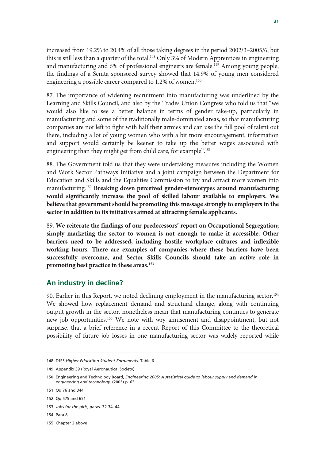increased from 19.2% to 20.4% of all those taking degrees in the period 2002/3–2005/6, but this is still less than a quarter of the total.<sup>148</sup> Only 3% of Modern Apprentices in engineering and manufacturing and 6% of professional engineers are female.<sup>149</sup> Among young people, the findings of a Semta sponsored survey showed that 14.9% of young men considered engineering a possible career compared to 1.2% of women.<sup>150</sup>

87. The importance of widening recruitment into manufacturing was underlined by the Learning and Skills Council, and also by the Trades Union Congress who told us that "we would also like to see a better balance in terms of gender take-up, particularly in manufacturing and some of the traditionally male-dominated areas, so that manufacturing companies are not left to fight with half their armies and can use the full pool of talent out there, including a lot of young women who with a bit more encouragement, information and support would certainly be keener to take up the better wages associated with engineering than they might get from child care, for example".151

88. The Government told us that they were undertaking measures including the Women and Work Sector Pathways Initiative and a joint campaign between the Department for Education and Skills and the Equalities Commission to try and attract more women into manufacturing.152 **Breaking down perceived gender-stereotypes around manufacturing would significantly increase the pool of skilled labour available to employers. We believe that government should be promoting this message strongly to employers in the sector in addition to its initiatives aimed at attracting female applicants.**

89. **We reiterate the findings of our predecessors' report on Occupational Segregation; simply marketing the sector to women is not enough to make it accessible. Other barriers need to be addressed, including hostile workplace cultures and inflexible working hours. There are examples of companies where these barriers have been successfully overcome, and Sector Skills Councils should take an active role in promoting best practice in these areas.**<sup>153</sup>

### **An industry in decline?**

90. Earlier in this Report, we noted declining employment in the manufacturing sector.<sup>154</sup> We showed how replacement demand and structural change, along with continuing output growth in the sector, nonetheless mean that manufacturing continues to generate new job opportunities.155 We note with wry amusement and disappointment, but not surprise, that a brief reference in a recent Report of this Committee to the theoretical possibility of future job losses in one manufacturing sector was widely reported while

- 154 Para 8
- 155 Chapter 2 above

<sup>148</sup> DfES *Higher Education Student Enrolments,* Table 6

<sup>149</sup> Appendix 39 (Royal Aeronautical Society)

<sup>150</sup> Engineering and Technology Board, *Engineering 2005: A statistical guide to labour supply and demand in engineering and technology,* (2005) p. 63

<sup>151</sup> Qq 76 and 344

<sup>152</sup> Qq 575 and 651

<sup>153</sup> *Jobs for the girls*, paras. 32-34, 44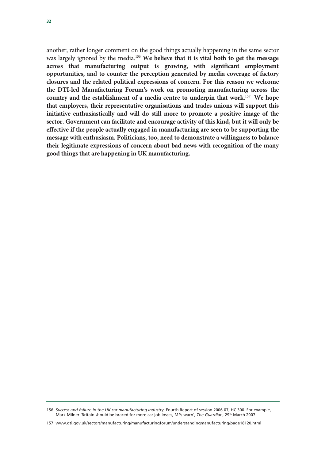another, rather longer comment on the good things actually happening in the same sector was largely ignored by the media.156 **We believe that it is vital both to get the message across that manufacturing output is growing, with significant employment opportunities, and to counter the perception generated by media coverage of factory closures and the related political expressions of concern. For this reason we welcome the DTI-led Manufacturing Forum's work on promoting manufacturing across the country and the establishment of a media centre to underpin that work.**<sup>157</sup> **We hope that employers, their representative organisations and trades unions will support this initiative enthusiastically and will do still more to promote a positive image of the sector. Government can facilitate and encourage activity of this kind, but it will only be effective if the people actually engaged in manufacturing are seen to be supporting the message with enthusiasm. Politicians, too, need to demonstrate a willingness to balance their legitimate expressions of concern about bad news with recognition of the many good things that are happening in UK manufacturing.**

<sup>156</sup> *Success and failure in the UK car manufacturing industry*, Fourth Report of session 2006-07, HC 300. For example, Mark Milner 'Britain should be braced for more car job losses, MPs warn', *The Guardian*, 29th March 2007

<sup>157</sup> www.dti.gov.uk/sectors/manufacturing/manufacturingforum/understandingmanufacturing/page18120.html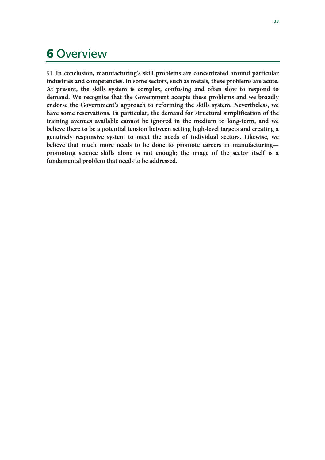### 6 Overview

91. **In conclusion, manufacturing's skill problems are concentrated around particular industries and competencies. In some sectors, such as metals, these problems are acute. At present, the skills system is complex, confusing and often slow to respond to demand. We recognise that the Government accepts these problems and we broadly endorse the Government's approach to reforming the skills system. Nevertheless, we have some reservations. In particular, the demand for structural simplification of the training avenues available cannot be ignored in the medium to long-term, and we believe there to be a potential tension between setting high-level targets and creating a genuinely responsive system to meet the needs of individual sectors. Likewise, we believe that much more needs to be done to promote careers in manufacturing promoting science skills alone is not enough; the image of the sector itself is a fundamental problem that needs to be addressed.**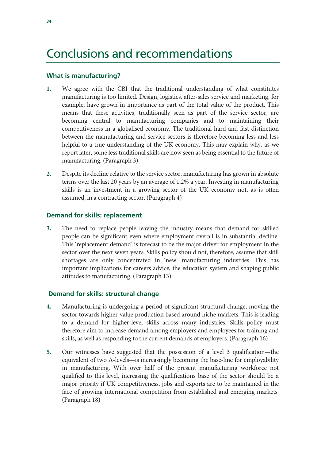## Conclusions and recommendations

### **What is manufacturing?**

- **1.** We agree with the CBI that the traditional understanding of what constitutes manufacturing is too limited. Design, logistics, after-sales service and marketing, for example, have grown in importance as part of the total value of the product. This means that these activities, traditionally seen as part of the service sector, are becoming central to manufacturing companies and to maintaining their competitiveness in a globalised economy. The traditional hard and fast distinction between the manufacturing and service sectors is therefore becoming less and less helpful to a true understanding of the UK economy. This may explain why, as we report later, some less traditional skills are now seen as being essential to the future of manufacturing. (Paragraph 3)
- **2.** Despite its decline relative to the service sector, manufacturing has grown in absolute terms over the last 20 years by an average of 1.2% a year. Investing in manufacturing skills is an investment in a growing sector of the UK economy not, as is often assumed, in a contracting sector. (Paragraph 4)

### **Demand for skills: replacement**

**3.** The need to replace people leaving the industry means that demand for skilled people can be significant even where employment overall is in substantial decline. This 'replacement demand' is forecast to be the major driver for employment in the sector over the next seven years. Skills policy should not, therefore, assume that skill shortages are only concentrated in 'new' manufacturing industries. This has important implications for careers advice, the education system and shaping public attitudes to manufacturing. (Paragraph 13)

### **Demand for skills: structural change**

- **4.** Manufacturing is undergoing a period of significant structural change, moving the sector towards higher-value production based around niche markets. This is leading to a demand for higher-level skills across many industries. Skills policy must therefore aim to increase demand among employers and employees for training and skills, as well as responding to the current demands of employers. (Paragraph 16)
- **5.** Our witnesses have suggested that the possession of a level 3 qualification—the equivalent of two A-levels—is increasingly becoming the base-line for employability in manufacturing. With over half of the present manufacturing workforce not qualified to this level, increasing the qualifications base of the sector should be a major priority if UK competitiveness, jobs and exports are to be maintained in the face of growing international competition from established and emerging markets. (Paragraph 18)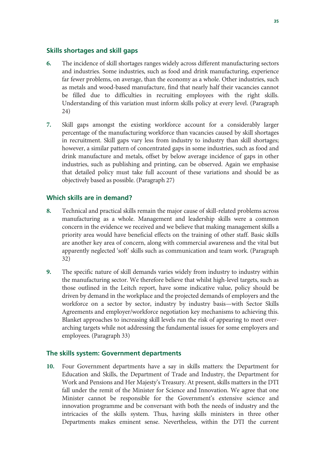### **Skills shortages and skill gaps**

- **6.** The incidence of skill shortages ranges widely across different manufacturing sectors and industries. Some industries, such as food and drink manufacturing, experience far fewer problems, on average, than the economy as a whole. Other industries, such as metals and wood-based manufacture, find that nearly half their vacancies cannot be filled due to difficulties in recruiting employees with the right skills. Understanding of this variation must inform skills policy at every level. (Paragraph 24)
- **7.** Skill gaps amongst the existing workforce account for a considerably larger percentage of the manufacturing workforce than vacancies caused by skill shortages in recruitment. Skill gaps vary less from industry to industry than skill shortages; however, a similar pattern of concentrated gaps in some industries, such as food and drink manufacture and metals, offset by below average incidence of gaps in other industries, such as publishing and printing, can be observed. Again we emphasise that detailed policy must take full account of these variations and should be as objectively based as possible. (Paragraph 27)

### **Which skills are in demand?**

- **8.** Technical and practical skills remain the major cause of skill-related problems across manufacturing as a whole. Management and leadership skills were a common concern in the evidence we received and we believe that making management skills a priority area would have beneficial effects on the training of other staff. Basic skills are another key area of concern, along with commercial awareness and the vital but apparently neglected 'soft' skills such as communication and team work. (Paragraph 32)
- **9.** The specific nature of skill demands varies widely from industry to industry within the manufacturing sector. We therefore believe that whilst high-level targets, such as those outlined in the Leitch report, have some indicative value, policy should be driven by demand in the workplace and the projected demands of employers and the workforce on a sector by sector, industry by industry basis—with Sector Skills Agreements and employer/workforce negotiation key mechanisms to achieving this. Blanket approaches to increasing skill levels run the risk of appearing to meet overarching targets while not addressing the fundamental issues for some employers and employees. (Paragraph 33)

### **The skills system: Government departments**

**10.** Four Government departments have a say in skills matters: the Department for Education and Skills, the Department of Trade and Industry, the Department for Work and Pensions and Her Majesty's Treasury. At present, skills matters in the DTI fall under the remit of the Minister for Science and Innovation. We agree that one Minister cannot be responsible for the Government's extensive science and innovation programme and be conversant with both the needs of industry and the intricacies of the skills system. Thus, having skills ministers in three other Departments makes eminent sense. Nevertheless, within the DTI the current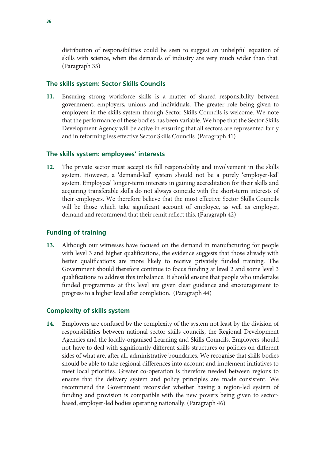distribution of responsibilities could be seen to suggest an unhelpful equation of skills with science, when the demands of industry are very much wider than that. (Paragraph 35)

### **The skills system: Sector Skills Councils**

**11.** Ensuring strong workforce skills is a matter of shared responsibility between government, employers, unions and individuals. The greater role being given to employers in the skills system through Sector Skills Councils is welcome. We note that the performance of these bodies has been variable. We hope that the Sector Skills Development Agency will be active in ensuring that all sectors are represented fairly and in reforming less effective Sector Skills Councils. (Paragraph 41)

### **The skills system: employees' interests**

**12.** The private sector must accept its full responsibility and involvement in the skills system. However, a 'demand-led' system should not be a purely 'employer-led' system. Employees' longer-term interests in gaining accreditation for their skills and acquiring transferable skills do not always coincide with the short-term interests of their employers. We therefore believe that the most effective Sector Skills Councils will be those which take significant account of employee, as well as employer, demand and recommend that their remit reflect this. (Paragraph 42)

### **Funding of training**

**13.** Although our witnesses have focused on the demand in manufacturing for people with level 3 and higher qualifications, the evidence suggests that those already with better qualifications are more likely to receive privately funded training. The Government should therefore continue to focus funding at level 2 and some level 3 qualifications to address this imbalance. It should ensure that people who undertake funded programmes at this level are given clear guidance and encouragement to progress to a higher level after completion. (Paragraph 44)

### **Complexity of skills system**

**14.** Employers are confused by the complexity of the system not least by the division of responsibilities between national sector skills councils, the Regional Development Agencies and the locally-organised Learning and Skills Councils. Employers should not have to deal with significantly different skills structures or policies on different sides of what are, after all, administrative boundaries. We recognise that skills bodies should be able to take regional differences into account and implement initiatives to meet local priorities. Greater co-operation is therefore needed between regions to ensure that the delivery system and policy principles are made consistent. We recommend the Government reconsider whether having a region-led system of funding and provision is compatible with the new powers being given to sectorbased, employer-led bodies operating nationally. (Paragraph 46)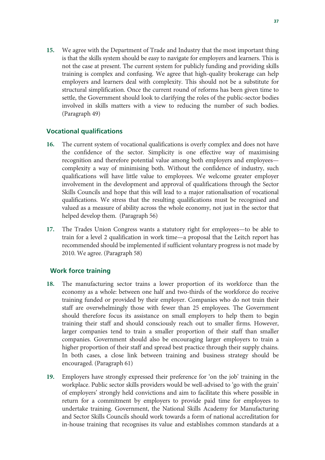**15.** We agree with the Department of Trade and Industry that the most important thing is that the skills system should be easy to navigate for employers and learners. This is not the case at present. The current system for publicly funding and providing skills training is complex and confusing. We agree that high-quality brokerage can help employers and learners deal with complexity. This should not be a substitute for structural simplification. Once the current round of reforms has been given time to settle, the Government should look to clarifying the roles of the public-sector bodies involved in skills matters with a view to reducing the number of such bodies. (Paragraph 49)

### **Vocational qualifications**

- **16.** The current system of vocational qualifications is overly complex and does not have the confidence of the sector. Simplicity is one effective way of maximising recognition and therefore potential value among both employers and employees complexity a way of minimising both. Without the confidence of industry, such qualifications will have little value to employees. We welcome greater employer involvement in the development and approval of qualifications through the Sector Skills Councils and hope that this will lead to a major rationalisation of vocational qualifications. We stress that the resulting qualifications must be recognised and valued as a measure of ability across the whole economy, not just in the sector that helped develop them. (Paragraph 56)
- **17.** The Trades Union Congress wants a statutory right for employees—to be able to train for a level 2 qualification in work time—a proposal that the Leitch report has recommended should be implemented if sufficient voluntary progress is not made by 2010. We agree. (Paragraph 58)

### **Work force training**

- **18.** The manufacturing sector trains a lower proportion of its workforce than the economy as a whole: between one half and two-thirds of the workforce do receive training funded or provided by their employer. Companies who do not train their staff are overwhelmingly those with fewer than 25 employees. The Government should therefore focus its assistance on small employers to help them to begin training their staff and should consciously reach out to smaller firms. However, larger companies tend to train a smaller proportion of their staff than smaller companies. Government should also be encouraging larger employers to train a higher proportion of their staff and spread best practice through their supply chains. In both cases, a close link between training and business strategy should be encouraged. (Paragraph 61)
- **19.** Employers have strongly expressed their preference for 'on the job' training in the workplace. Public sector skills providers would be well-advised to 'go with the grain' of employers' strongly held convictions and aim to facilitate this where possible in return for a commitment by employers to provide paid time for employees to undertake training. Government, the National Skills Academy for Manufacturing and Sector Skills Councils should work towards a form of national accreditation for in-house training that recognises its value and establishes common standards at a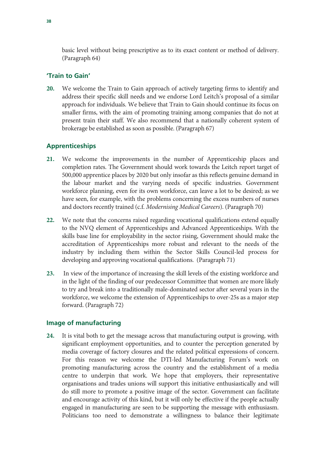basic level without being prescriptive as to its exact content or method of delivery. (Paragraph 64)

### **'Train to Gain'**

**20.** We welcome the Train to Gain approach of actively targeting firms to identify and address their specific skill needs and we endorse Lord Leitch's proposal of a similar approach for individuals. We believe that Train to Gain should continue its focus on smaller firms, with the aim of promoting training among companies that do not at present train their staff. We also recommend that a nationally coherent system of brokerage be established as soon as possible. (Paragraph 67)

### **Apprenticeships**

- **21.** We welcome the improvements in the number of Apprenticeship places and completion rates. The Government should work towards the Leitch report target of 500,000 apprentice places by 2020 but only insofar as this reflects genuine demand in the labour market and the varying needs of specific industries. Government workforce planning, even for its own workforce, can leave a lot to be desired; as we have seen, for example, with the problems concerning the excess numbers of nurses and doctors recently trained (c.f. *Modernising Medical Careers*). (Paragraph 70)
- **22.** We note that the concerns raised regarding vocational qualifications extend equally to the NVQ element of Apprenticeships and Advanced Apprenticeships. With the skills base line for employability in the sector rising, Government should make the accreditation of Apprenticeships more robust and relevant to the needs of the industry by including them within the Sector Skills Council-led process for developing and approving vocational qualifications. (Paragraph 71)
- **23.** In view of the importance of increasing the skill levels of the existing workforce and in the light of the finding of our predecessor Committee that women are more likely to try and break into a traditionally male-dominated sector after several years in the workforce, we welcome the extension of Apprenticeships to over-25s as a major step forward. (Paragraph 72)

### **Image of manufacturing**

**24.** It is vital both to get the message across that manufacturing output is growing, with significant employment opportunities, and to counter the perception generated by media coverage of factory closures and the related political expressions of concern. For this reason we welcome the DTI-led Manufacturing Forum's work on promoting manufacturing across the country and the establishment of a media centre to underpin that work. We hope that employers, their representative organisations and trades unions will support this initiative enthusiastically and will do still more to promote a positive image of the sector. Government can facilitate and encourage activity of this kind, but it will only be effective if the people actually engaged in manufacturing are seen to be supporting the message with enthusiasm. Politicians too need to demonstrate a willingness to balance their legitimate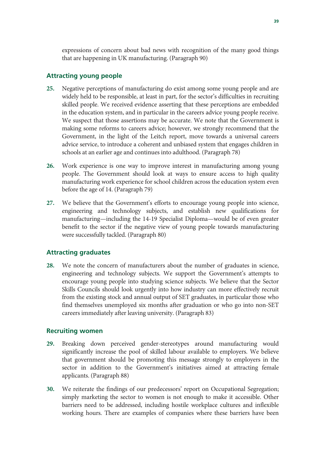expressions of concern about bad news with recognition of the many good things that are happening in UK manufacturing. (Paragraph 90)

### **Attracting young people**

- **25.** Negative perceptions of manufacturing do exist among some young people and are widely held to be responsible, at least in part, for the sector's difficulties in recruiting skilled people. We received evidence asserting that these perceptions are embedded in the education system, and in particular in the careers advice young people receive. We suspect that those assertions may be accurate. We note that the Government is making some reforms to careers advice; however, we strongly recommend that the Government, in the light of the Leitch report, move towards a universal careers advice service, to introduce a coherent and unbiased system that engages children in schools at an earlier age and continues into adulthood. (Paragraph 78)
- **26.** Work experience is one way to improve interest in manufacturing among young people. The Government should look at ways to ensure access to high quality manufacturing work experience for school children across the education system even before the age of 14. (Paragraph 79)
- **27.** We believe that the Government's efforts to encourage young people into science, engineering and technology subjects, and establish new qualifications for manufacturing—including the 14-19 Specialist Diploma—would be of even greater benefit to the sector if the negative view of young people towards manufacturing were successfully tackled. (Paragraph 80)

### **Attracting graduates**

**28.** We note the concern of manufacturers about the number of graduates in science, engineering and technology subjects. We support the Government's attempts to encourage young people into studying science subjects. We believe that the Sector Skills Councils should look urgently into how industry can more effectively recruit from the existing stock and annual output of SET graduates, in particular those who find themselves unemployed six months after graduation or who go into non-SET careers immediately after leaving university. (Paragraph 83)

### **Recruiting women**

- **29.** Breaking down perceived gender-stereotypes around manufacturing would significantly increase the pool of skilled labour available to employers. We believe that government should be promoting this message strongly to employers in the sector in addition to the Government's initiatives aimed at attracting female applicants. (Paragraph 88)
- **30.** We reiterate the findings of our predecessors' report on Occupational Segregation; simply marketing the sector to women is not enough to make it accessible. Other barriers need to be addressed, including hostile workplace cultures and inflexible working hours. There are examples of companies where these barriers have been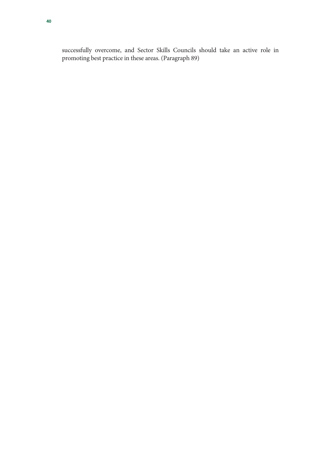successfully overcome, and Sector Skills Councils should take an active role in promoting best practice in these areas. (Paragraph 89)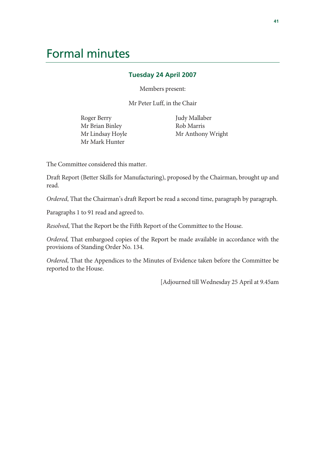# Formal minutes

### **Tuesday 24 April 2007**

Members present:

Mr Peter Luff, in the Chair

Roger Berry Mr Brian Binley Mr Lindsay Hoyle Mr Mark Hunter

 Judy Mallaber Rob Marris Mr Anthony Wright

The Committee considered this matter.

Draft Report (Better Skills for Manufacturing), proposed by the Chairman, brought up and read.

*Ordered*, That the Chairman's draft Report be read a second time, paragraph by paragraph.

Paragraphs 1 to 91 read and agreed to.

*Resolved*, That the Report be the Fifth Report of the Committee to the House.

*Ordered,* That embargoed copies of the Report be made available in accordance with the provisions of Standing Order No. 134.

*Ordered*, That the Appendices to the Minutes of Evidence taken before the Committee be reported to the House.

[Adjourned till Wednesday 25 April at 9.45am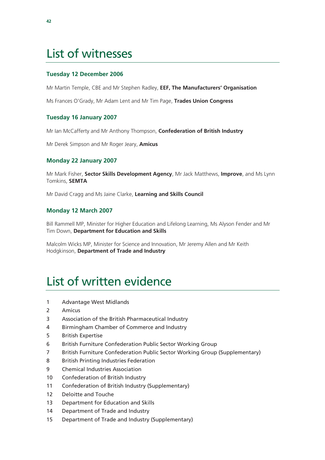# List of witnesses

### **Tuesday 12 December 2006**

Mr Martin Temple, CBE and Mr Stephen Radley, **EEF, The Manufacturers' Organisation**

Ms Frances O'Grady, Mr Adam Lent and Mr Tim Page, **Trades Union Congress** 

### **Tuesday 16 January 2007**

Mr Ian McCafferty and Mr Anthony Thompson, **Confederation of British Industry** 

Mr Derek Simpson and Mr Roger Jeary, **Amicus** 

### **Monday 22 January 2007**

Mr Mark Fisher, **Sector Skills Development Agency**, Mr Jack Matthews, **Improve**, and Ms Lynn Tomkins, **SEMTA** 

Mr David Cragg and Ms Jaine Clarke, **Learning and Skills Council** 

### **Monday 12 March 2007**

Bill Rammell MP, Minister for Higher Education and Lifelong Learning, Ms Alyson Fender and Mr Tim Down, **Department for Education and Skills** 

Malcolm Wicks MP, Minister for Science and Innovation, Mr Jeremy Allen and Mr Keith Hodgkinson, **Department of Trade and Industry** 

# List of written evidence

- 1 Advantage West Midlands
- 2 Amicus
- 3 Association of the British Pharmaceutical Industry
- 4 Birmingham Chamber of Commerce and Industry
- 5 British Expertise
- 6 British Furniture Confederation Public Sector Working Group
- 7 British Furniture Confederation Public Sector Working Group (Supplementary)
- 8 British Printing Industries Federation
- 9 Chemical Industries Association
- 10 Confederation of British Industry
- 11 Confederation of British Industry (Supplementary)
- 12 Deloitte and Touche
- 13 Department for Education and Skills
- 14 Department of Trade and Industry
- 15 Department of Trade and Industry (Supplementary)